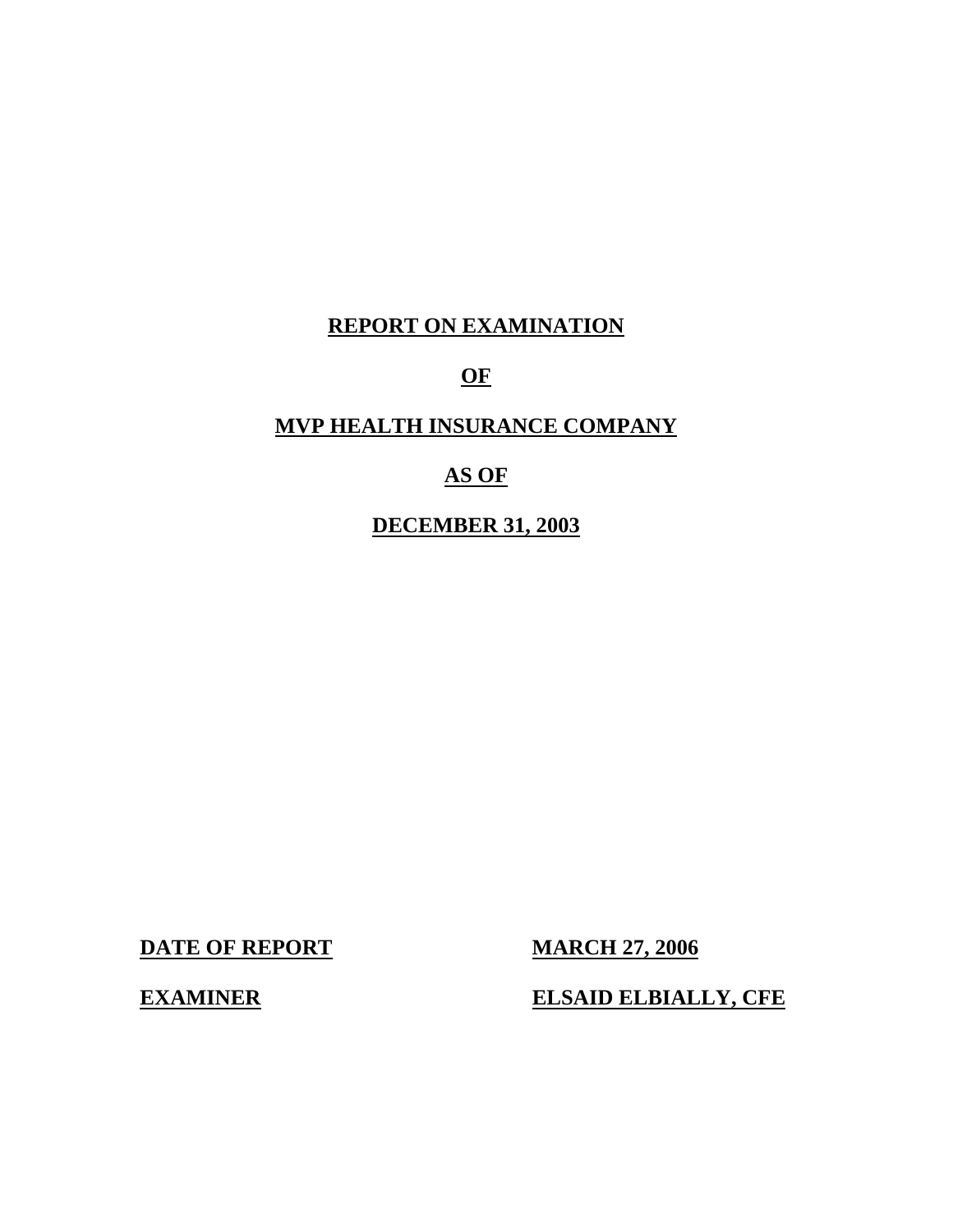# **REPORT ON EXAMINATION**

# **OF**

# **MVP HEALTH INSURANCE COMPANY**

# **AS OF**

**DECEMBER 31, 2003** 

**DATE OF REPORT MARCH 27, 2006** 

**EXAMINER** 

**ELSAID ELBIALLY, CFE**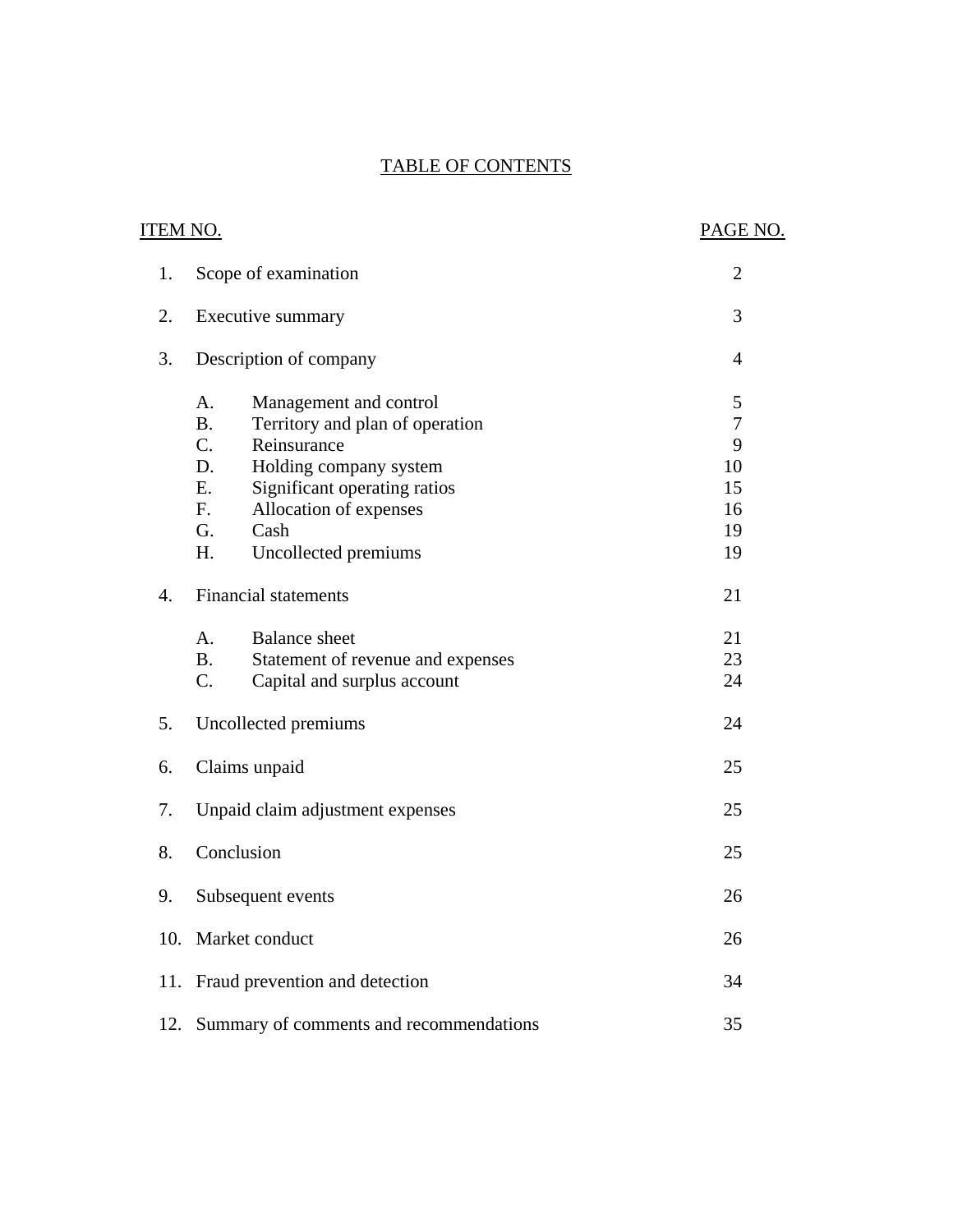# TABLE OF CONTENTS

| ITEM NO.         |                                                                                                                                                                                                                                                              | PAGE NO.                                               |
|------------------|--------------------------------------------------------------------------------------------------------------------------------------------------------------------------------------------------------------------------------------------------------------|--------------------------------------------------------|
| 1.               | Scope of examination                                                                                                                                                                                                                                         | $\overline{2}$                                         |
| 2.               | Executive summary                                                                                                                                                                                                                                            | 3                                                      |
| 3.               | Description of company                                                                                                                                                                                                                                       | $\overline{4}$                                         |
|                  | Management and control<br>A.<br><b>B.</b><br>Territory and plan of operation<br>$C_{\cdot}$<br>Reinsurance<br>D.<br>Holding company system<br>Significant operating ratios<br>E.<br>Allocation of expenses<br>F.<br>G.<br>Cash<br>H.<br>Uncollected premiums | 5<br>$\overline{7}$<br>9<br>10<br>15<br>16<br>19<br>19 |
| $\overline{4}$ . | <b>Financial statements</b><br><b>Balance</b> sheet<br>A.<br><b>B.</b><br>Statement of revenue and expenses                                                                                                                                                  | 21<br>21<br>23                                         |
| 5.               | C.<br>Capital and surplus account                                                                                                                                                                                                                            | 24<br>24                                               |
| 6.               | Uncollected premiums<br>Claims unpaid                                                                                                                                                                                                                        | 25                                                     |
| 7.               | Unpaid claim adjustment expenses                                                                                                                                                                                                                             | 25                                                     |
| 8.               | Conclusion                                                                                                                                                                                                                                                   | 25                                                     |
| 9.               | Subsequent events                                                                                                                                                                                                                                            | 26                                                     |
|                  | 10. Market conduct                                                                                                                                                                                                                                           | 26                                                     |
|                  | 11. Fraud prevention and detection                                                                                                                                                                                                                           | 34                                                     |
| 12.              | Summary of comments and recommendations                                                                                                                                                                                                                      | 35                                                     |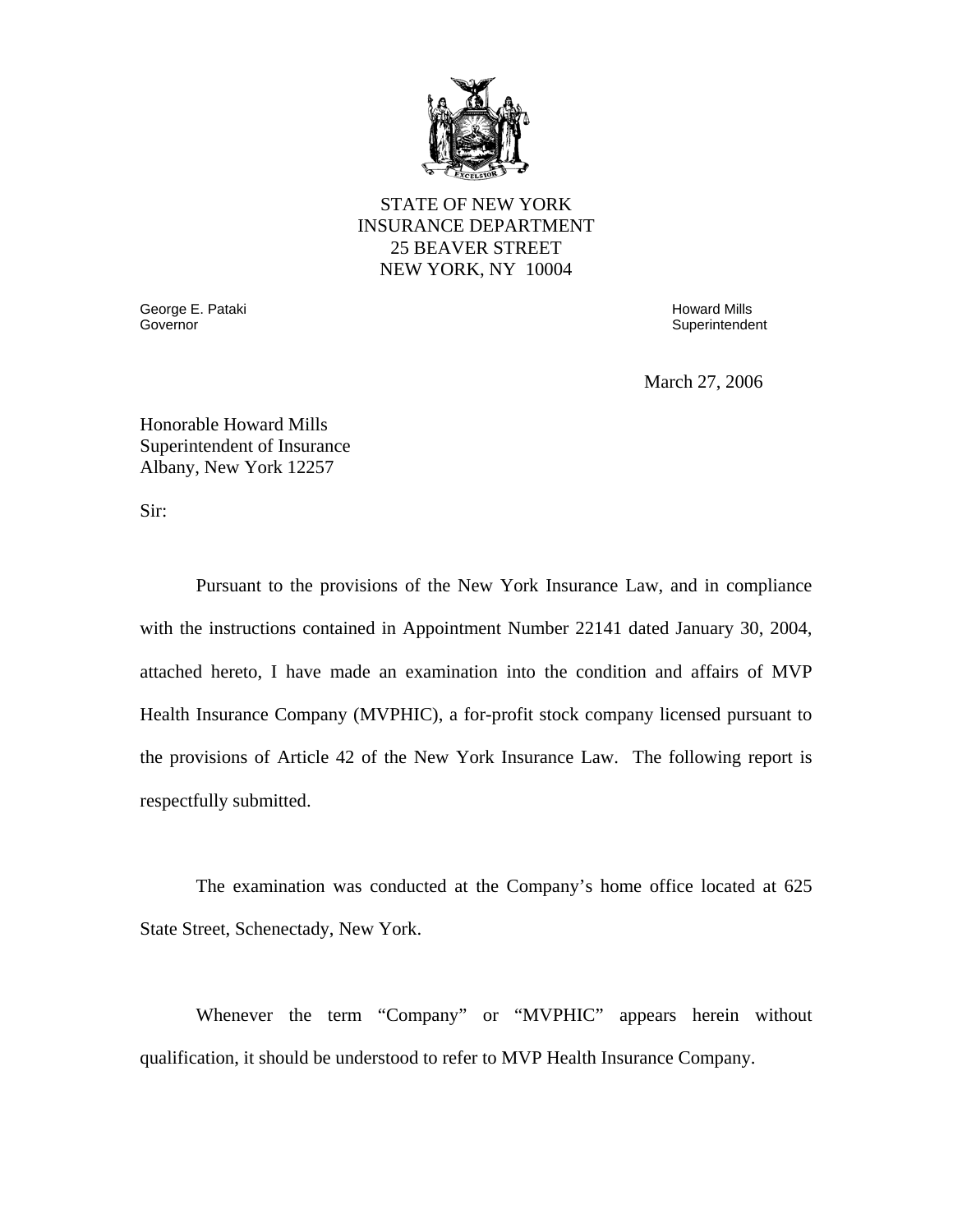

# STATE OF NEW YORK INSURANCE DEPARTMENT 25 BEAVER STREET NEW YORK, NY 10004

Governor George E. Pataki Governor Howard Mills

**Superintendent** 

March 27, 2006

Honorable Howard Mills Superintendent of Insurance Albany, New York 12257

Sir:

Pursuant to the provisions of the New York Insurance Law, and in compliance with the instructions contained in Appointment Number 22141 dated January 30, 2004, attached hereto, I have made an examination into the condition and affairs of MVP Health Insurance Company (MVPHIC), a for-profit stock company licensed pursuant to the provisions of Article 42 of the New York Insurance Law. The following report is respectfully submitted.

The examination was conducted at the Company's home office located at 625 State Street, Schenectady, New York.

Whenever the term "Company" or "MVPHIC" appears herein without qualification, it should be understood to refer to MVP Health Insurance Company.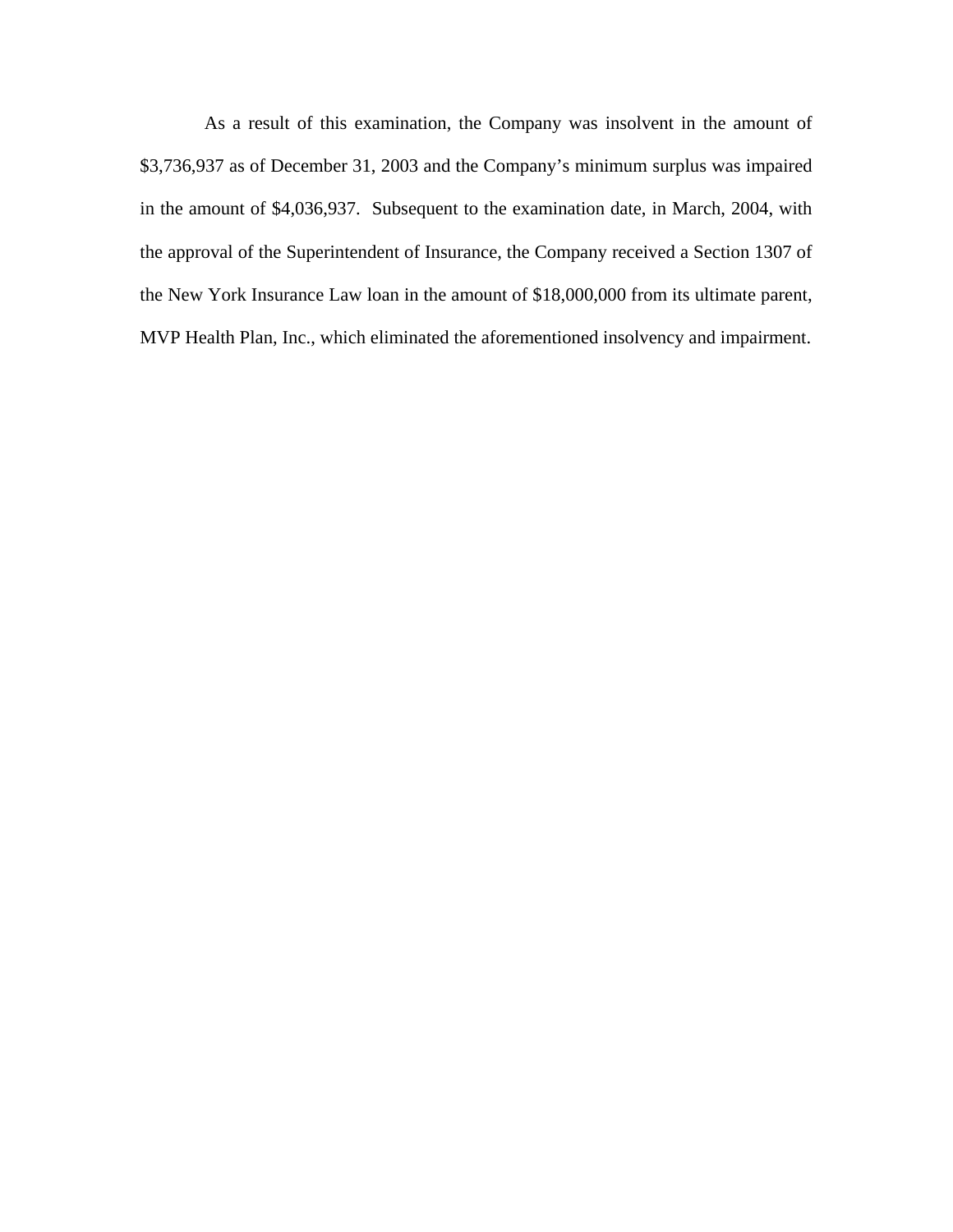As a result of this examination, the Company was insolvent in the amount of \$3,736,937 as of December 31, 2003 and the Company's minimum surplus was impaired in the amount of \$4,036,937. Subsequent to the examination date, in March, 2004, with the approval of the Superintendent of Insurance, the Company received a Section 1307 of the New York Insurance Law loan in the amount of \$18,000,000 from its ultimate parent, MVP Health Plan, Inc., which eliminated the aforementioned insolvency and impairment.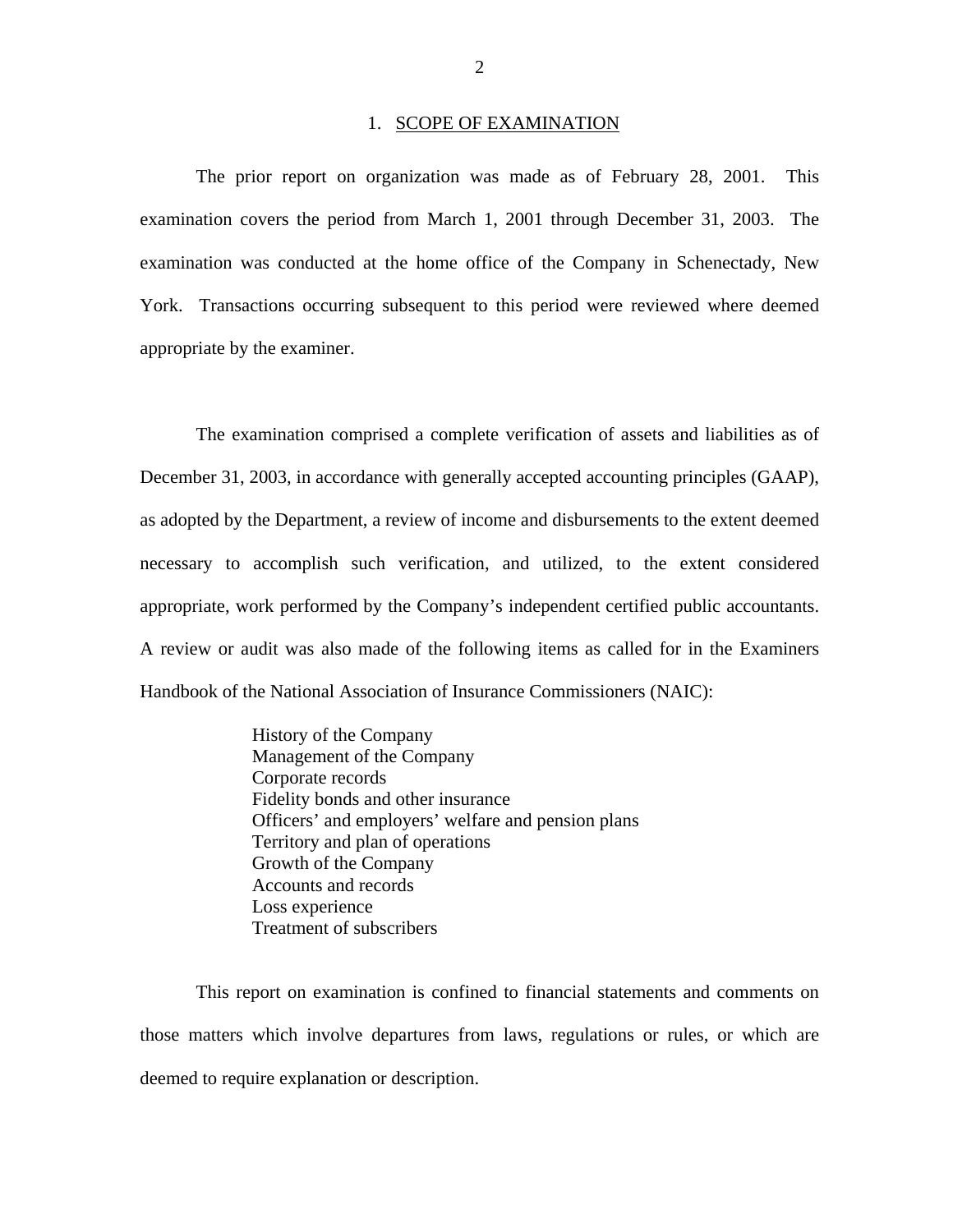#### 1. SCOPE OF EXAMINATION

<span id="page-4-0"></span>The prior report on organization was made as of February 28, 2001. This examination covers the period from March 1, 2001 through December 31, 2003. The examination was conducted at the home office of the Company in Schenectady, New York. Transactions occurring subsequent to this period were reviewed where deemed appropriate by the examiner.

The examination comprised a complete verification of assets and liabilities as of December 31, 2003, in accordance with generally accepted accounting principles (GAAP), as adopted by the Department, a review of income and disbursements to the extent deemed necessary to accomplish such verification, and utilized, to the extent considered appropriate, work performed by the Company's independent certified public accountants. A review or audit was also made of the following items as called for in the Examiners Handbook of the National Association of Insurance Commissioners (NAIC):

> History of the Company Management of the Company Corporate records Fidelity bonds and other insurance Officers' and employers' welfare and pension plans Territory and plan of operations Growth of the Company Accounts and records Loss experience Treatment of subscribers

This report on examination is confined to financial statements and comments on those matters which involve departures from laws, regulations or rules, or which are deemed to require explanation or description.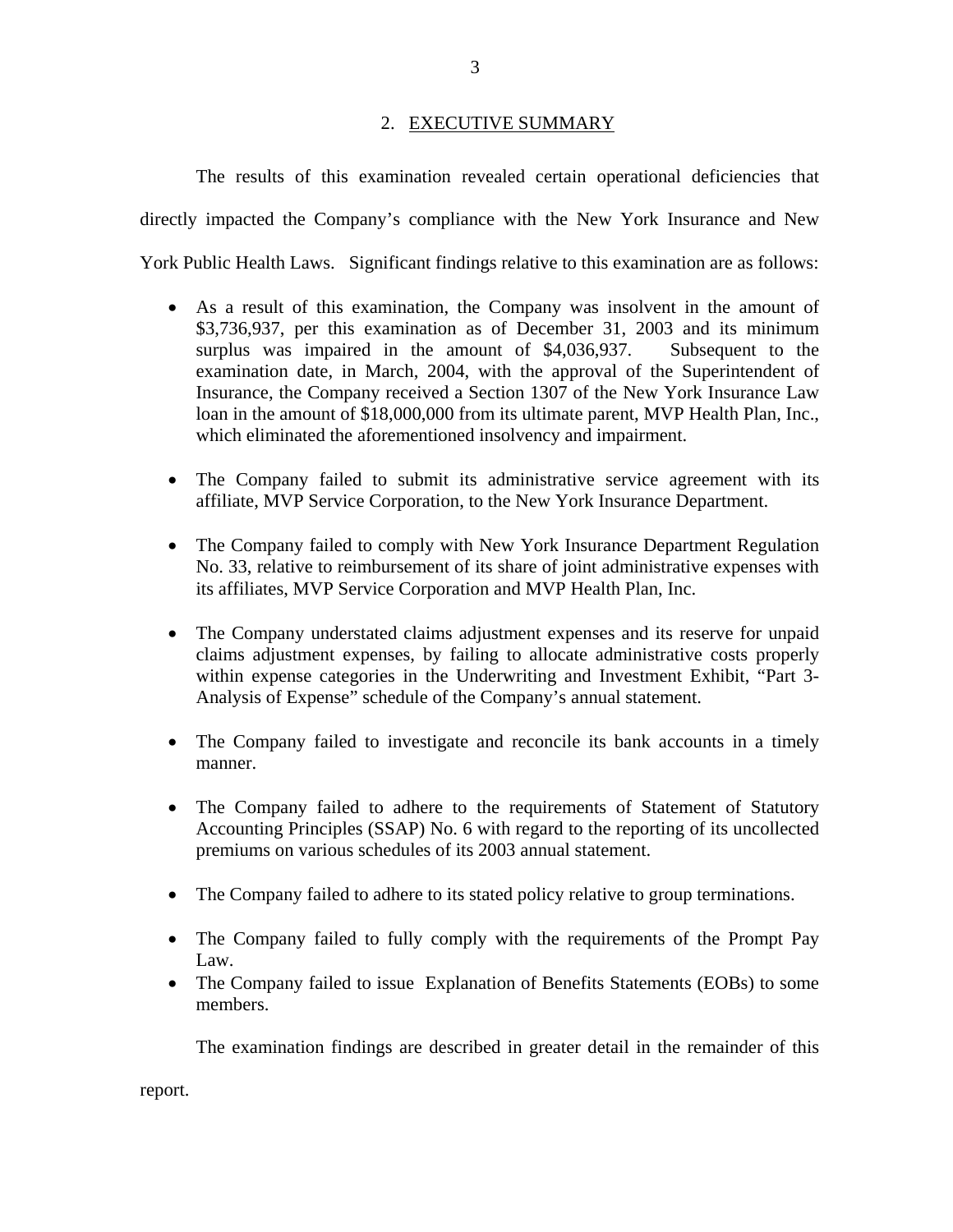# 2. EXECUTIVE SUMMARY

<span id="page-5-0"></span>The results of this examination revealed certain operational deficiencies that directly impacted the Company's compliance with the New York Insurance and New York Public Health Laws. Significant findings relative to this examination are as follows:

- As a result of this examination, the Company was insolvent in the amount of \$3,736,937, per this examination as of December 31, 2003 and its minimum surplus was impaired in the amount of \$4,036,937. Subsequent to the examination date, in March, 2004, with the approval of the Superintendent of Insurance, the Company received a Section 1307 of the New York Insurance Law loan in the amount of \$18,000,000 from its ultimate parent, MVP Health Plan, Inc., which eliminated the aforementioned insolvency and impairment.
- The Company failed to submit its administrative service agreement with its affiliate, MVP Service Corporation, to the New York Insurance Department.
- The Company failed to comply with New York Insurance Department Regulation No. 33, relative to reimbursement of its share of joint administrative expenses with its affiliates, MVP Service Corporation and MVP Health Plan, Inc.
- The Company understated claims adjustment expenses and its reserve for unpaid claims adjustment expenses, by failing to allocate administrative costs properly within expense categories in the Underwriting and Investment Exhibit, "Part 3- Analysis of Expense" schedule of the Company's annual statement.
- The Company failed to investigate and reconcile its bank accounts in a timely manner.
- The Company failed to adhere to the requirements of Statement of Statutory Accounting Principles (SSAP) No. 6 with regard to the reporting of its uncollected premiums on various schedules of its 2003 annual statement.
- The Company failed to adhere to its stated policy relative to group terminations.
- The Company failed to fully comply with the requirements of the Prompt Pay Law.
- The Company failed to issue Explanation of Benefits Statements (EOBs) to some members.

The examination findings are described in greater detail in the remainder of this

report.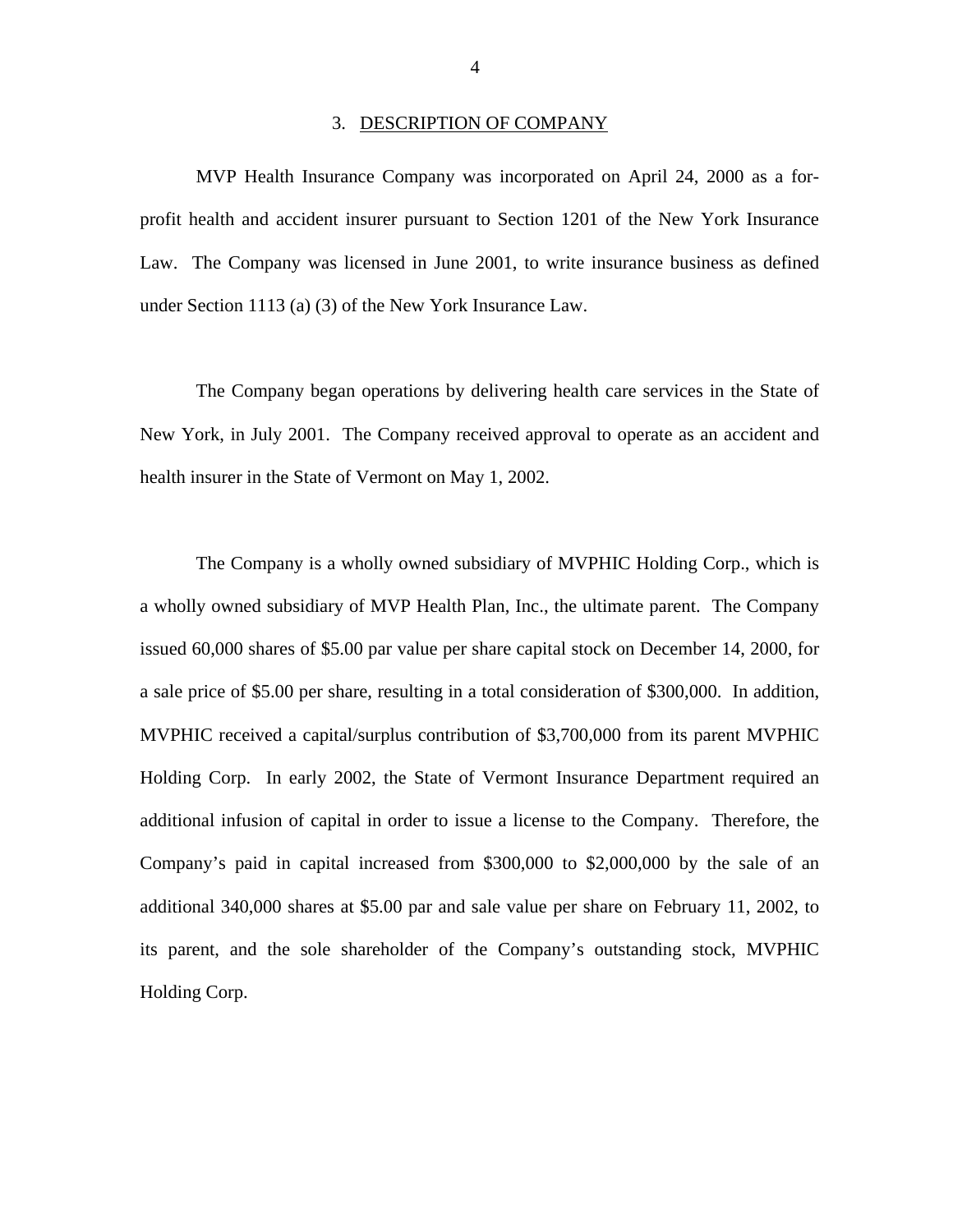#### 3. DESCRIPTION OF COMPANY

<span id="page-6-0"></span>MVP Health Insurance Company was incorporated on April 24, 2000 as a forprofit health and accident insurer pursuant to Section 1201 of the New York Insurance Law. The Company was licensed in June 2001, to write insurance business as defined under Section 1113 (a) (3) of the New York Insurance Law.

The Company began operations by delivering health care services in the State of New York, in July 2001. The Company received approval to operate as an accident and health insurer in the State of Vermont on May 1, 2002.

The Company is a wholly owned subsidiary of MVPHIC Holding Corp., which is a wholly owned subsidiary of MVP Health Plan, Inc., the ultimate parent. The Company issued 60,000 shares of \$5.00 par value per share capital stock on December 14, 2000, for a sale price of \$5.00 per share, resulting in a total consideration of \$300,000. In addition, MVPHIC received a capital/surplus contribution of \$3,700,000 from its parent MVPHIC Holding Corp. In early 2002, the State of Vermont Insurance Department required an additional infusion of capital in order to issue a license to the Company. Therefore, the Company's paid in capital increased from \$300,000 to \$2,000,000 by the sale of an additional 340,000 shares at \$5.00 par and sale value per share on February 11, 2002, to its parent, and the sole shareholder of the Company's outstanding stock, MVPHIC Holding Corp.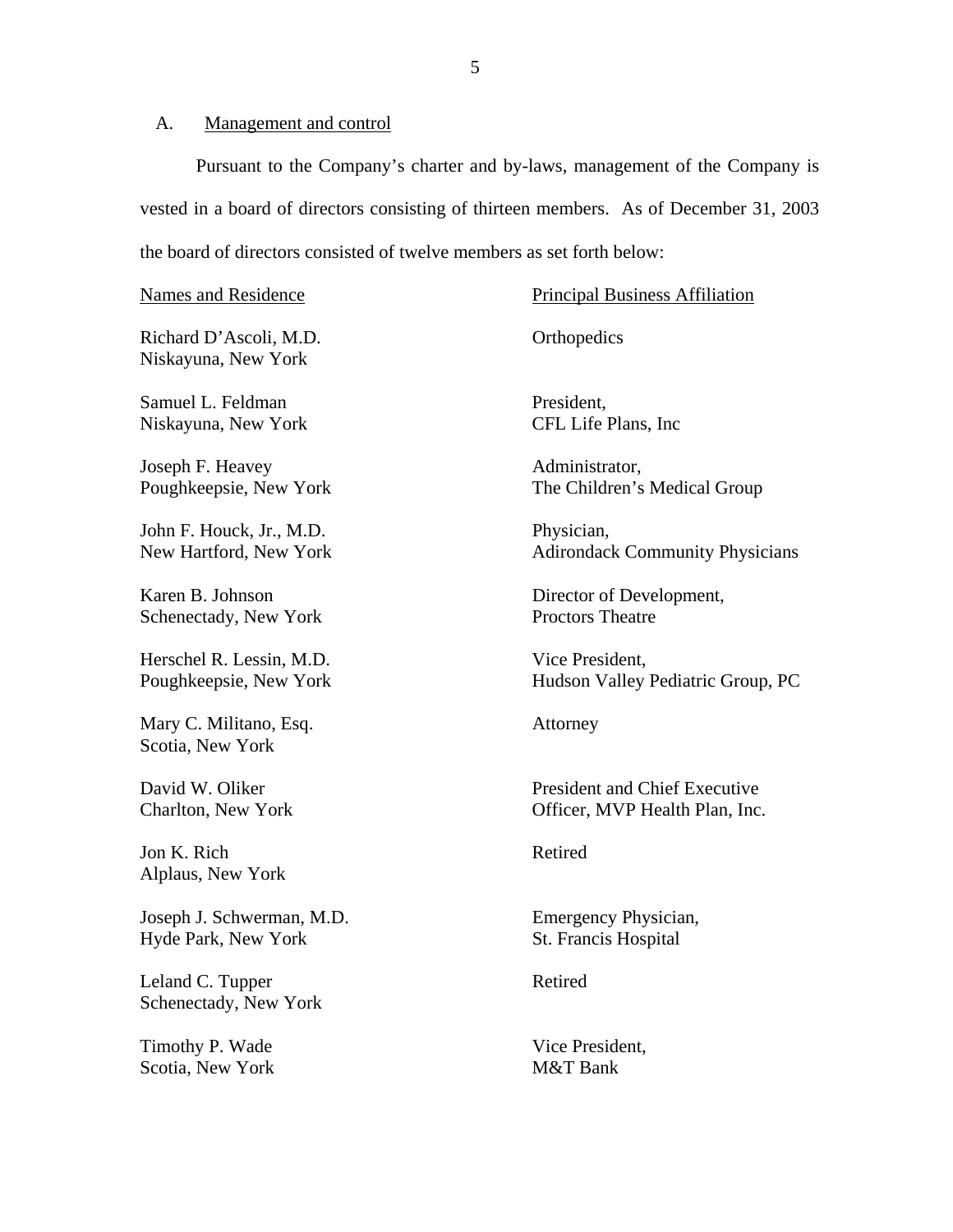# <span id="page-7-0"></span>A. Management and control

Pursuant to the Company's charter and by-laws, management of the Company is vested in a board of directors consisting of thirteen members. As of December 31, 2003 the board of directors consisted of twelve members as set forth below:

Richard D'Ascoli, M.D. Orthopedics Niskayuna, New York

Samuel L. Feldman President, Niskayuna, New York CFL Life Plans, Inc

Joseph F. Heavey Administrator,

John F. Houck, Jr., M.D. Physician,

Schenectady, New York Proctors Theatre

Herschel R. Lessin, M.D. Vice President,

Mary C. Militano, Esq. **Attorney** Scotia, New York

Jon K. Rich Retired Alplaus, New York

Joseph J. Schwerman, M.D. Emergency Physician, Hyde Park, New York St. Francis Hospital

Leland C. Tupper Retired Schenectady, New York

Timothy P. Wade Vice President, Scotia, New York M&T Bank

Names and Residence **Principal Business Affiliation** 

Poughkeepsie, New York The Children's Medical Group

New Hartford, New York Adirondack Community Physicians

Karen B. Johnson Director of Development,

Poughkeepsie, New York Hudson Valley Pediatric Group, PC

David W. Oliker **President and Chief Executive** Charlton, New York Officer, MVP Health Plan, Inc.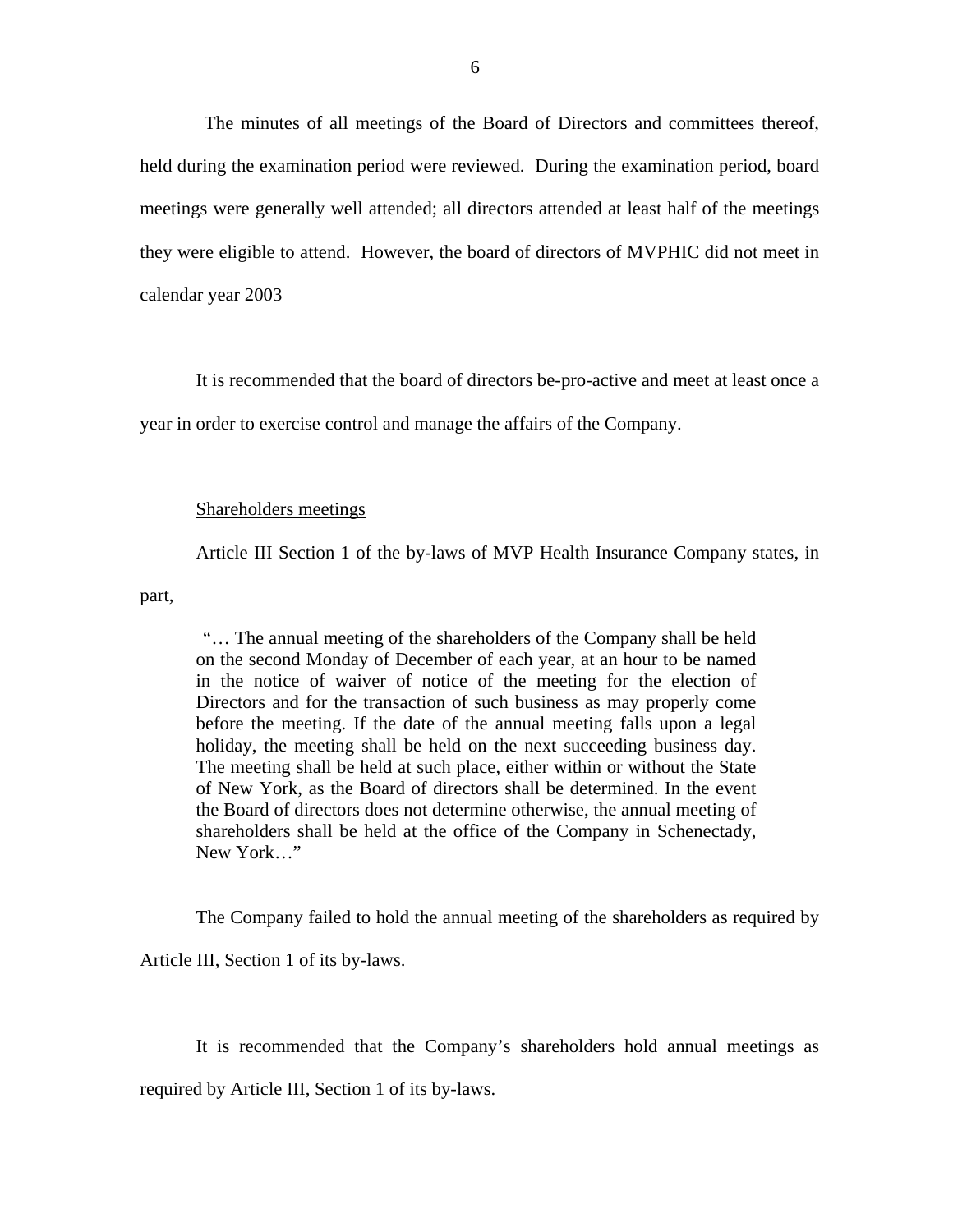The minutes of all meetings of the Board of Directors and committees thereof, held during the examination period were reviewed. During the examination period, board meetings were generally well attended; all directors attended at least half of the meetings they were eligible to attend. However, the board of directors of MVPHIC did not meet in calendar year 2003

It is recommended that the board of directors be-pro-active and meet at least once a year in order to exercise control and manage the affairs of the Company.

### Shareholders meetings

Article III Section 1 of the by-laws of MVP Health Insurance Company states, in

part,

"… The annual meeting of the shareholders of the Company shall be held on the second Monday of December of each year, at an hour to be named in the notice of waiver of notice of the meeting for the election of Directors and for the transaction of such business as may properly come before the meeting. If the date of the annual meeting falls upon a legal holiday, the meeting shall be held on the next succeeding business day. The meeting shall be held at such place, either within or without the State of New York, as the Board of directors shall be determined. In the event the Board of directors does not determine otherwise, the annual meeting of shareholders shall be held at the office of the Company in Schenectady, New York…"

The Company failed to hold the annual meeting of the shareholders as required by

Article III, Section 1 of its by-laws.

It is recommended that the Company's shareholders hold annual meetings as

required by Article III, Section 1 of its by-laws.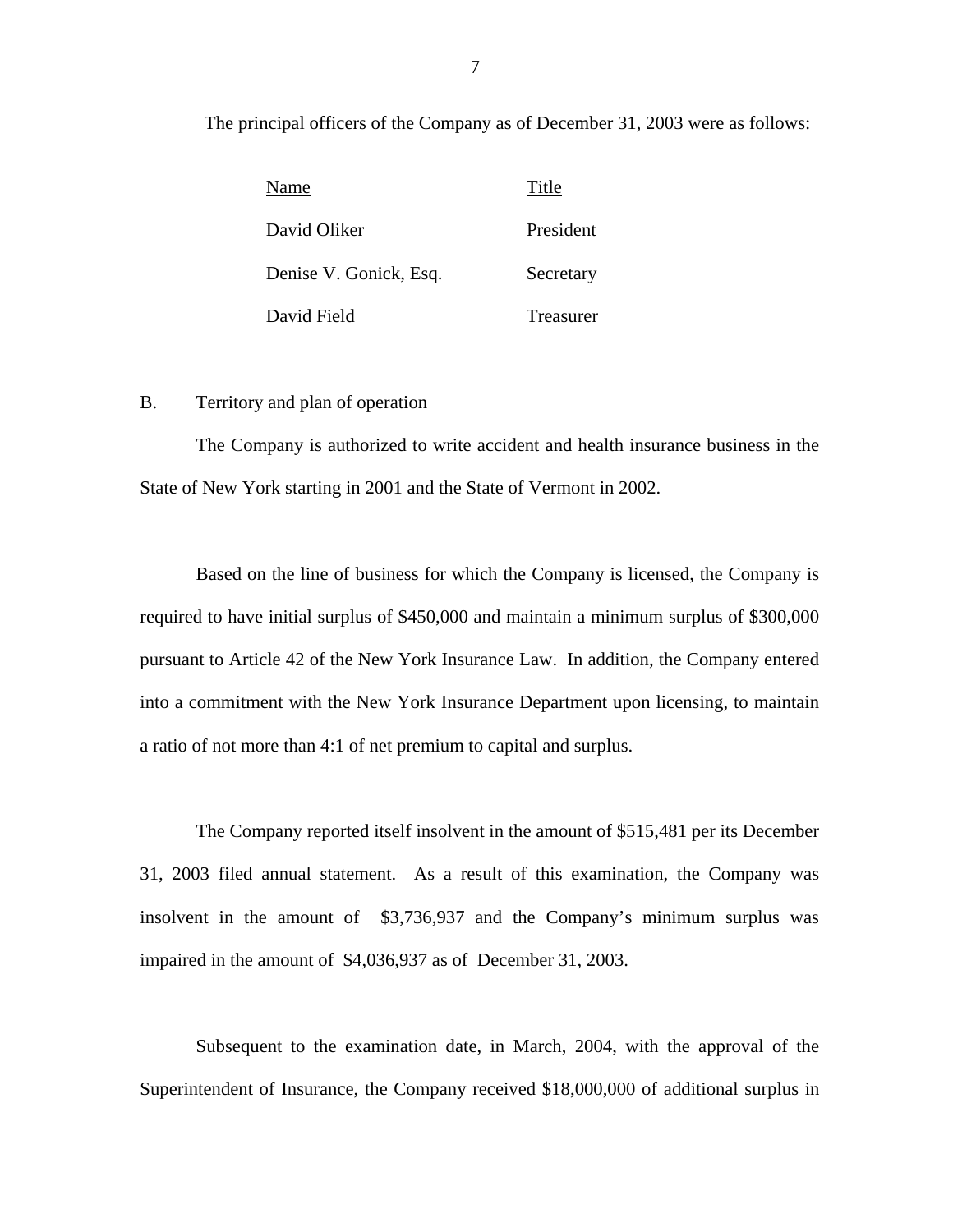<span id="page-9-0"></span>The principal officers of the Company as of December 31, 2003 were as follows:

| Name                   | Title     |
|------------------------|-----------|
| David Oliker           | President |
| Denise V. Gonick, Esq. | Secretary |
| David Field            | Treasurer |

# B. Territory and plan of operation

The Company is authorized to write accident and health insurance business in the State of New York starting in 2001 and the State of Vermont in 2002.

Based on the line of business for which the Company is licensed, the Company is required to have initial surplus of \$450,000 and maintain a minimum surplus of \$300,000 pursuant to Article 42 of the New York Insurance Law. In addition, the Company entered into a commitment with the New York Insurance Department upon licensing, to maintain a ratio of not more than 4:1 of net premium to capital and surplus.

The Company reported itself insolvent in the amount of \$515,481 per its December 31, 2003 filed annual statement. As a result of this examination, the Company was insolvent in the amount of \$3,736,937 and the Company's minimum surplus was impaired in the amount of \$4,036,937 as of December 31, 2003.

Subsequent to the examination date, in March, 2004, with the approval of the Superintendent of Insurance, the Company received \$18,000,000 of additional surplus in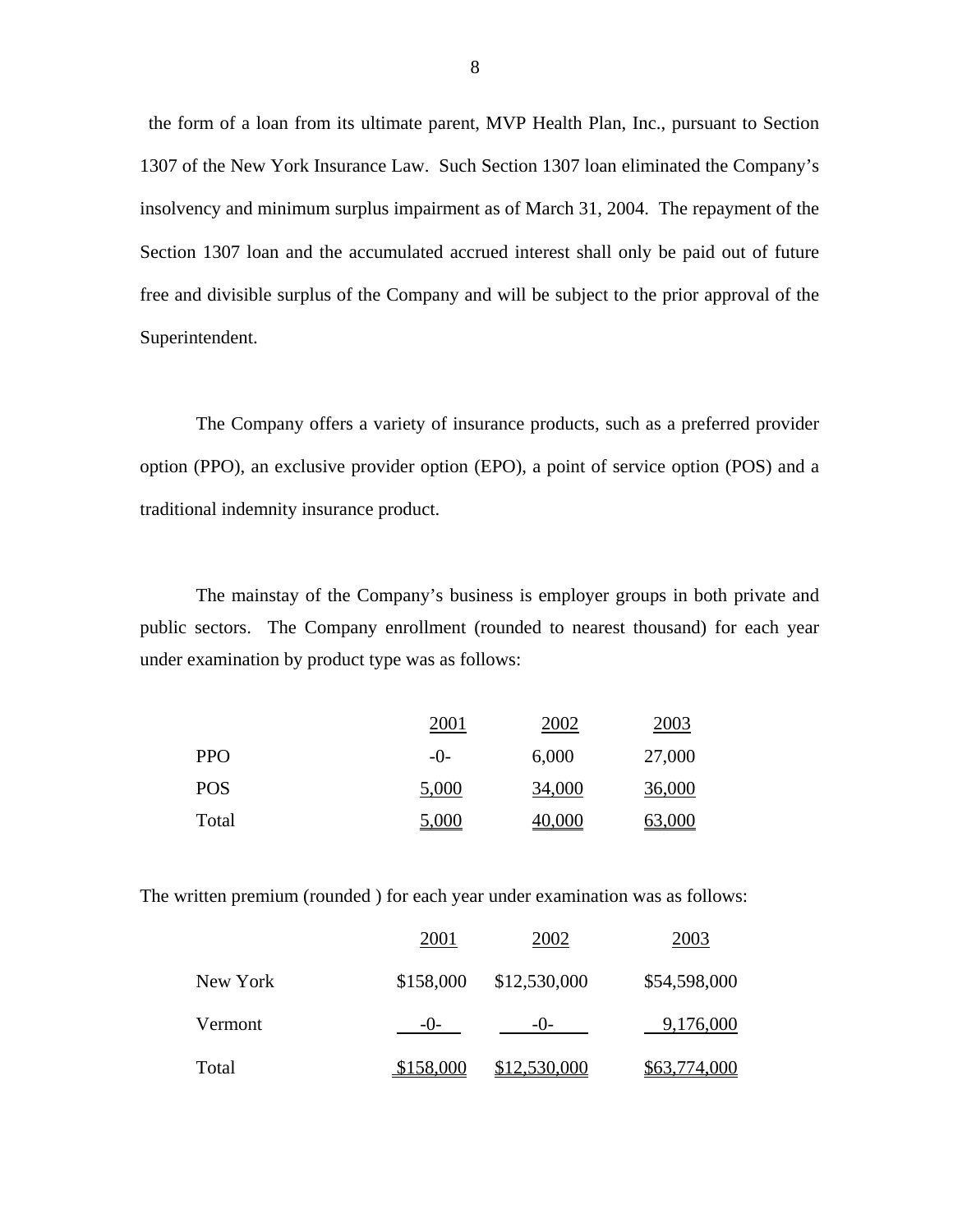the form of a loan from its ultimate parent, MVP Health Plan, Inc., pursuant to Section 1307 of the New York Insurance Law. Such Section 1307 loan eliminated the Company's insolvency and minimum surplus impairment as of March 31, 2004. The repayment of the Section 1307 loan and the accumulated accrued interest shall only be paid out of future free and divisible surplus of the Company and will be subject to the prior approval of the Superintendent.

The Company offers a variety of insurance products, such as a preferred provider option (PPO), an exclusive provider option (EPO), a point of service option (POS) and a traditional indemnity insurance product.

The mainstay of the Company's business is employer groups in both private and public sectors. The Company enrollment (rounded to nearest thousand) for each year under examination by product type was as follows:

|            | 2001  | 2002   | 2003   |
|------------|-------|--------|--------|
| <b>PPO</b> | $-()$ | 6,000  | 27,000 |
| <b>POS</b> | 5,000 | 34,000 | 36,000 |
| Total      | 5,000 | 40,000 | 63,000 |

The written premium (rounded ) for each year under examination was as follows:

|          | 2001      | 2002         | 2003         |
|----------|-----------|--------------|--------------|
| New York | \$158,000 | \$12,530,000 | \$54,598,000 |
| Vermont  | $-()$     | $-()$        | 9,176,000    |
| Total    | \$158,000 | \$12,530,000 | \$63,774,000 |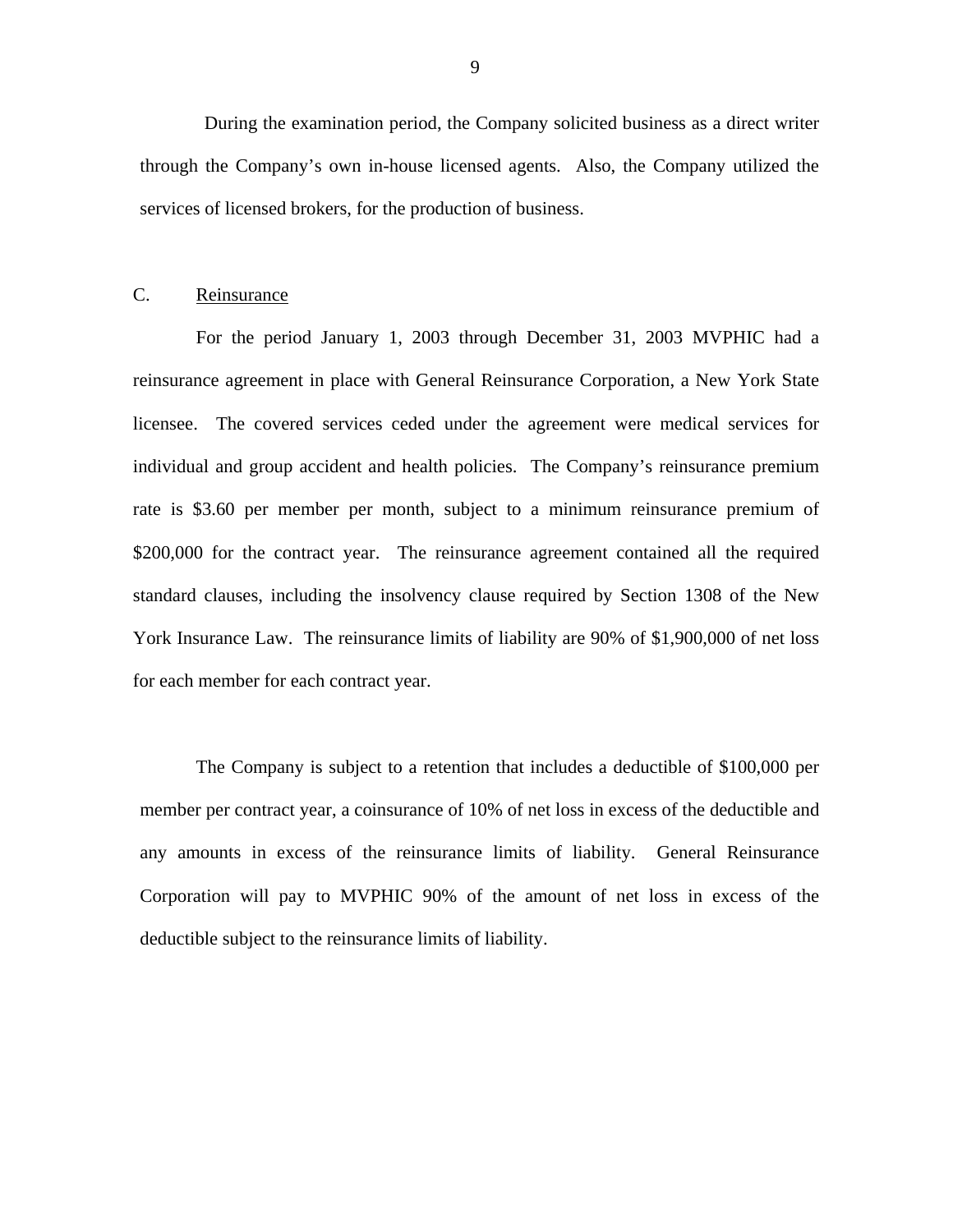<span id="page-11-0"></span>During the examination period, the Company solicited business as a direct writer through the Company's own in-house licensed agents. Also, the Company utilized the services of licensed brokers, for the production of business.

# C. Reinsurance

For the period January 1, 2003 through December 31, 2003 MVPHIC had a reinsurance agreement in place with General Reinsurance Corporation, a New York State licensee. The covered services ceded under the agreement were medical services for individual and group accident and health policies. The Company's reinsurance premium rate is \$3.60 per member per month, subject to a minimum reinsurance premium of \$200,000 for the contract year. The reinsurance agreement contained all the required standard clauses, including the insolvency clause required by Section 1308 of the New York Insurance Law. The reinsurance limits of liability are 90% of \$1,900,000 of net loss for each member for each contract year.

The Company is subject to a retention that includes a deductible of \$100,000 per member per contract year, a coinsurance of 10% of net loss in excess of the deductible and any amounts in excess of the reinsurance limits of liability. General Reinsurance Corporation will pay to MVPHIC 90% of the amount of net loss in excess of the deductible subject to the reinsurance limits of liability.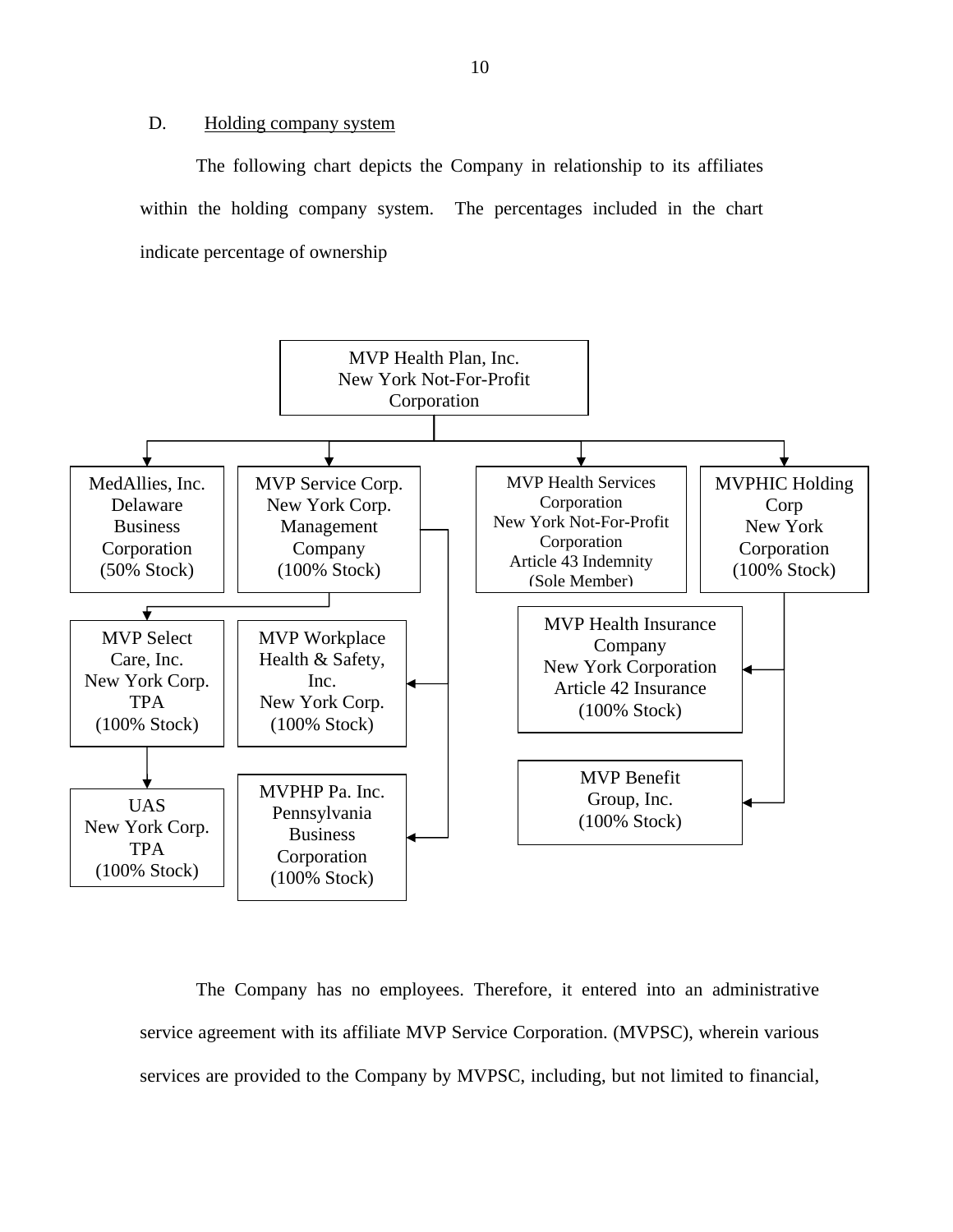# D. Holding company system

The following chart depicts the Company in relationship to its affiliates within the holding company system. The percentages included in the chart indicate percentage of ownership



The Company has no employees. Therefore, it entered into an administrative service agreement with its affiliate MVP Service Corporation. (MVPSC), wherein various services are provided to the Company by MVPSC, including, but not limited to financial,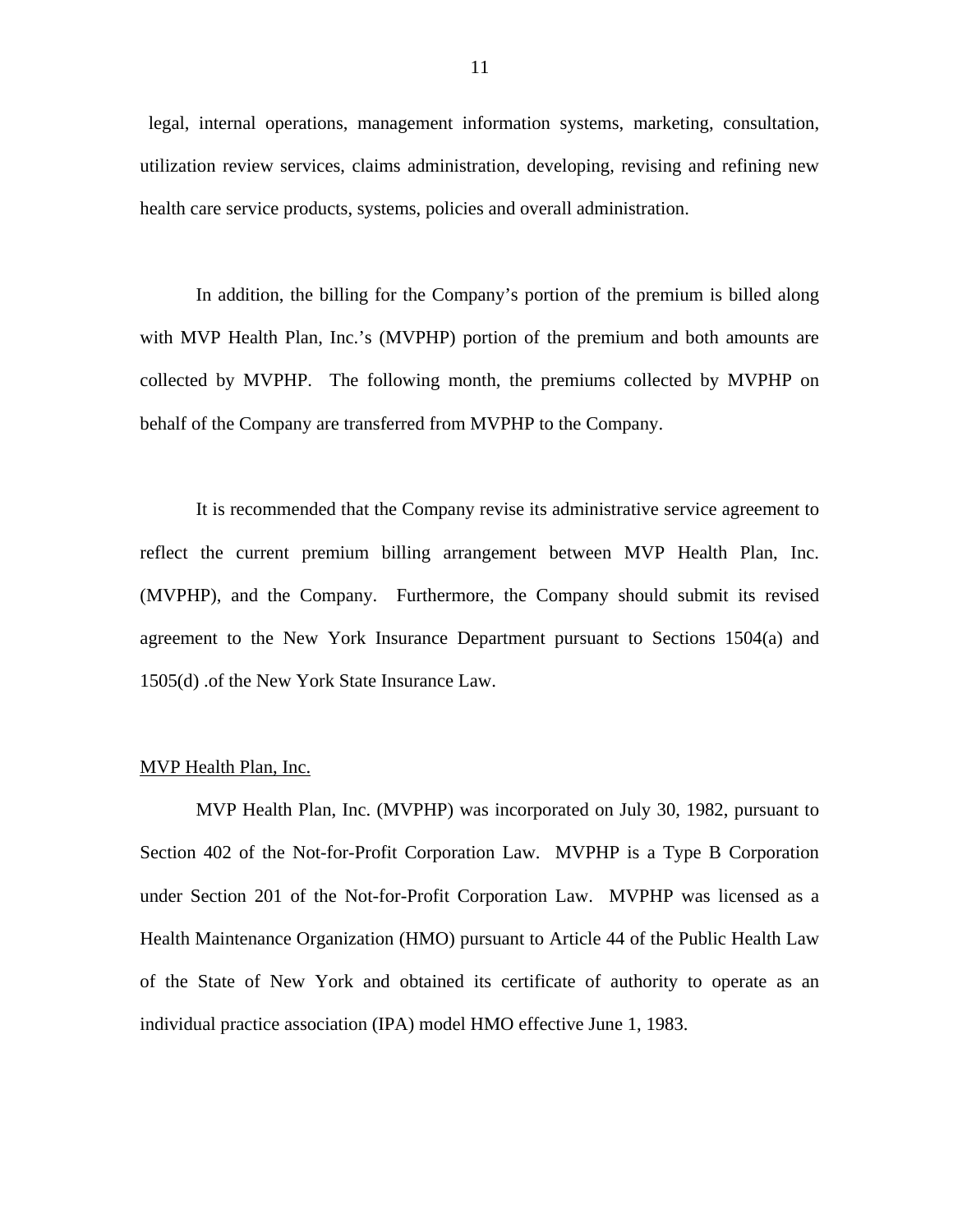legal, internal operations, management information systems, marketing, consultation, utilization review services, claims administration, developing, revising and refining new health care service products, systems, policies and overall administration.

In addition, the billing for the Company's portion of the premium is billed along with MVP Health Plan, Inc.'s (MVPHP) portion of the premium and both amounts are collected by MVPHP. The following month, the premiums collected by MVPHP on behalf of the Company are transferred from MVPHP to the Company.

It is recommended that the Company revise its administrative service agreement to reflect the current premium billing arrangement between MVP Health Plan, Inc. (MVPHP), and the Company. Furthermore, the Company should submit its revised agreement to the New York Insurance Department pursuant to Sections 1504(a) and 1505(d) .of the New York State Insurance Law.

#### MVP Health Plan, Inc.

MVP Health Plan, Inc. (MVPHP) was incorporated on July 30, 1982, pursuant to Section 402 of the Not-for-Profit Corporation Law. MVPHP is a Type B Corporation under Section 201 of the Not-for-Profit Corporation Law. MVPHP was licensed as a Health Maintenance Organization (HMO) pursuant to Article 44 of the Public Health Law of the State of New York and obtained its certificate of authority to operate as an individual practice association (IPA) model HMO effective June 1, 1983.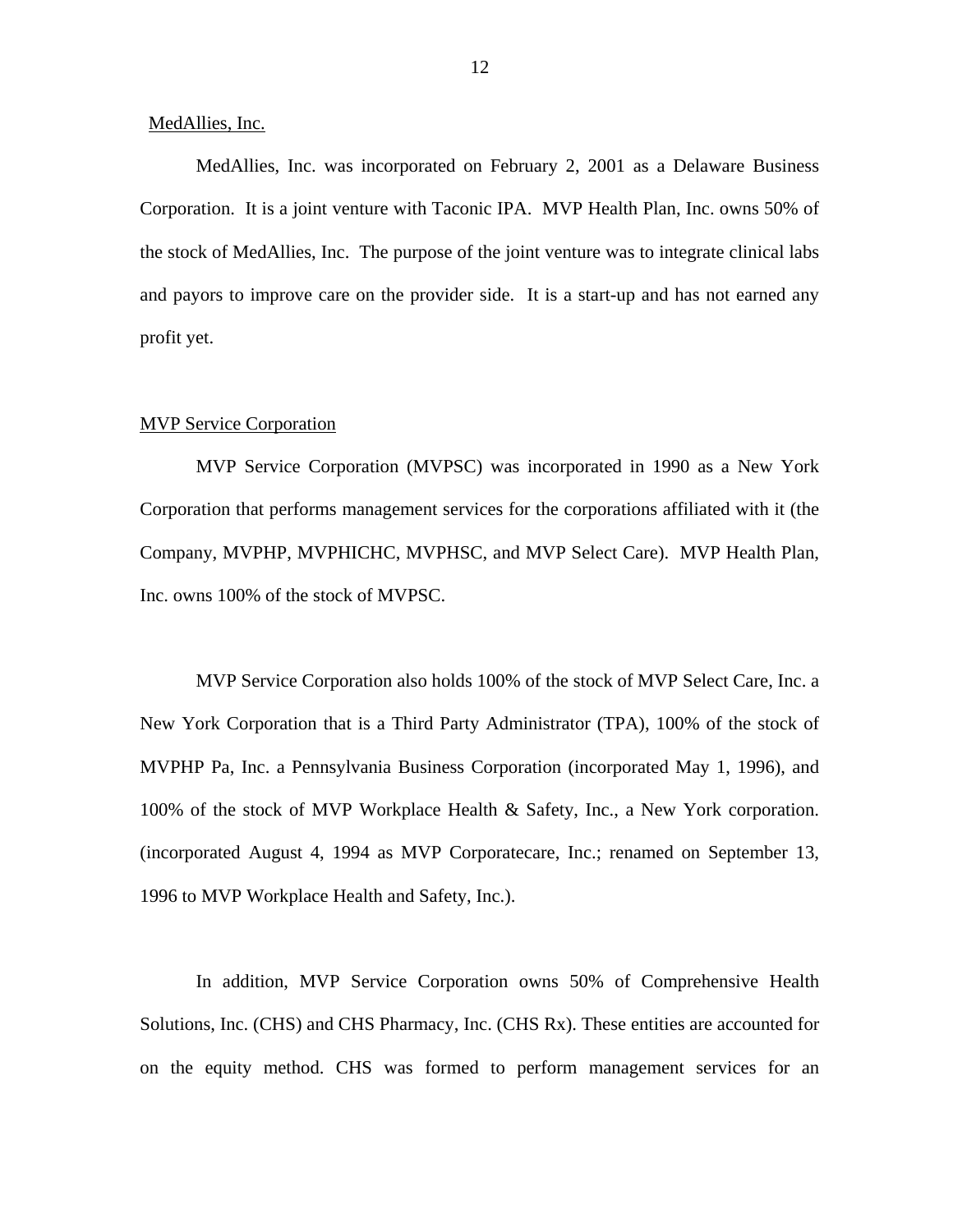MedAllies, Inc.

MedAllies, Inc. was incorporated on February 2, 2001 as a Delaware Business Corporation. It is a joint venture with Taconic IPA. MVP Health Plan, Inc. owns 50% of the stock of MedAllies, Inc. The purpose of the joint venture was to integrate clinical labs and payors to improve care on the provider side. It is a start-up and has not earned any profit yet.

#### MVP Service Corporation

MVP Service Corporation (MVPSC) was incorporated in 1990 as a New York Corporation that performs management services for the corporations affiliated with it (the Company, MVPHP, MVPHICHC, MVPHSC, and MVP Select Care). MVP Health Plan, Inc. owns 100% of the stock of MVPSC.

MVP Service Corporation also holds 100% of the stock of MVP Select Care, Inc. a New York Corporation that is a Third Party Administrator (TPA), 100% of the stock of MVPHP Pa, Inc. a Pennsylvania Business Corporation (incorporated May 1, 1996), and 100% of the stock of MVP Workplace Health & Safety, Inc., a New York corporation. (incorporated August 4, 1994 as MVP Corporatecare, Inc.; renamed on September 13, 1996 to MVP Workplace Health and Safety, Inc.).

In addition, MVP Service Corporation owns 50% of Comprehensive Health Solutions, Inc. (CHS) and CHS Pharmacy, Inc. (CHS Rx). These entities are accounted for on the equity method. CHS was formed to perform management services for an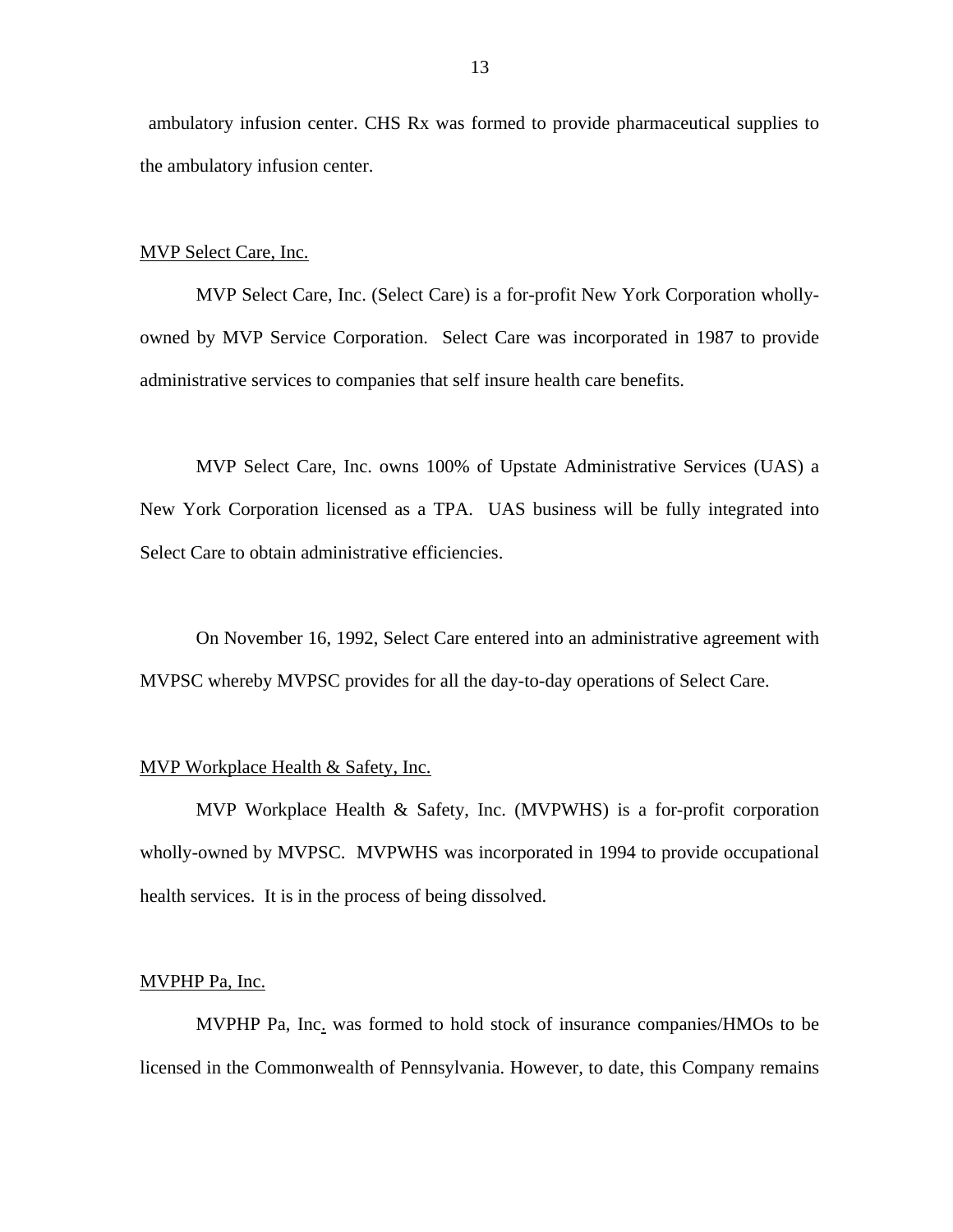ambulatory infusion center. CHS Rx was formed to provide pharmaceutical supplies to the ambulatory infusion center.

#### MVP Select Care, Inc.

MVP Select Care, Inc. (Select Care) is a for-profit New York Corporation whollyowned by MVP Service Corporation. Select Care was incorporated in 1987 to provide administrative services to companies that self insure health care benefits.

MVP Select Care, Inc. owns 100% of Upstate Administrative Services (UAS) a New York Corporation licensed as a TPA. UAS business will be fully integrated into Select Care to obtain administrative efficiencies.

On November 16, 1992, Select Care entered into an administrative agreement with MVPSC whereby MVPSC provides for all the day-to-day operations of Select Care.

# MVP Workplace Health & Safety, Inc.

MVP Workplace Health & Safety, Inc. (MVPWHS) is a for-profit corporation wholly-owned by MVPSC. MVPWHS was incorporated in 1994 to provide occupational health services. It is in the process of being dissolved.

#### MVPHP Pa, Inc.

MVPHP Pa, Inc. was formed to hold stock of insurance companies/HMOs to be licensed in the Commonwealth of Pennsylvania. However, to date, this Company remains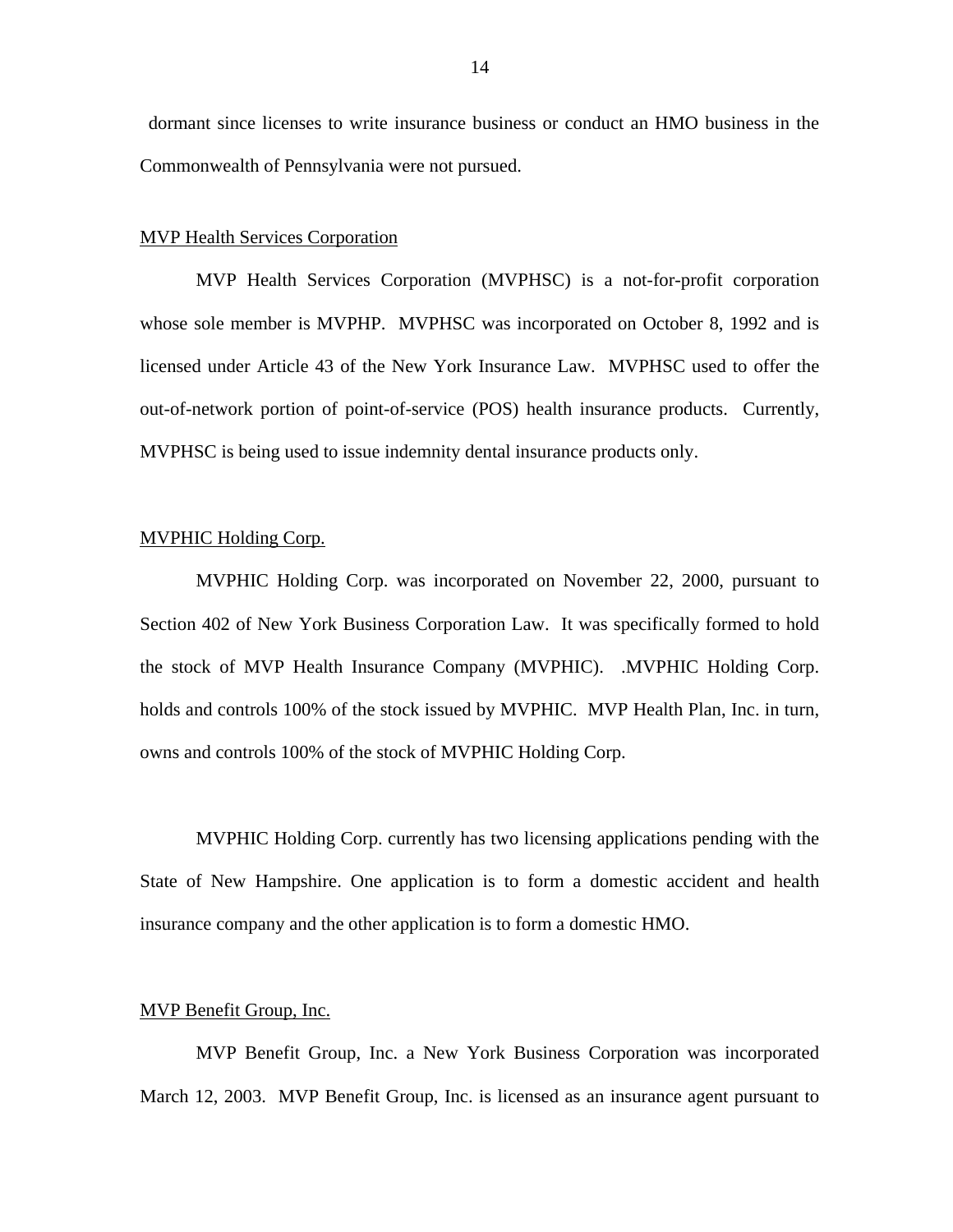dormant since licenses to write insurance business or conduct an HMO business in the Commonwealth of Pennsylvania were not pursued.

#### MVP Health Services Corporation

MVP Health Services Corporation (MVPHSC) is a not-for-profit corporation whose sole member is MVPHP. MVPHSC was incorporated on October 8, 1992 and is licensed under Article 43 of the New York Insurance Law. MVPHSC used to offer the out-of-network portion of point-of-service (POS) health insurance products. Currently, MVPHSC is being used to issue indemnity dental insurance products only.

# MVPHIC Holding Corp.

MVPHIC Holding Corp. was incorporated on November 22, 2000, pursuant to Section 402 of New York Business Corporation Law. It was specifically formed to hold the stock of MVP Health Insurance Company (MVPHIC). .MVPHIC Holding Corp. holds and controls 100% of the stock issued by MVPHIC. MVP Health Plan, Inc. in turn, owns and controls 100% of the stock of MVPHIC Holding Corp.

MVPHIC Holding Corp. currently has two licensing applications pending with the State of New Hampshire. One application is to form a domestic accident and health insurance company and the other application is to form a domestic HMO.

# MVP Benefit Group, Inc.

MVP Benefit Group, Inc. a New York Business Corporation was incorporated March 12, 2003. MVP Benefit Group, Inc. is licensed as an insurance agent pursuant to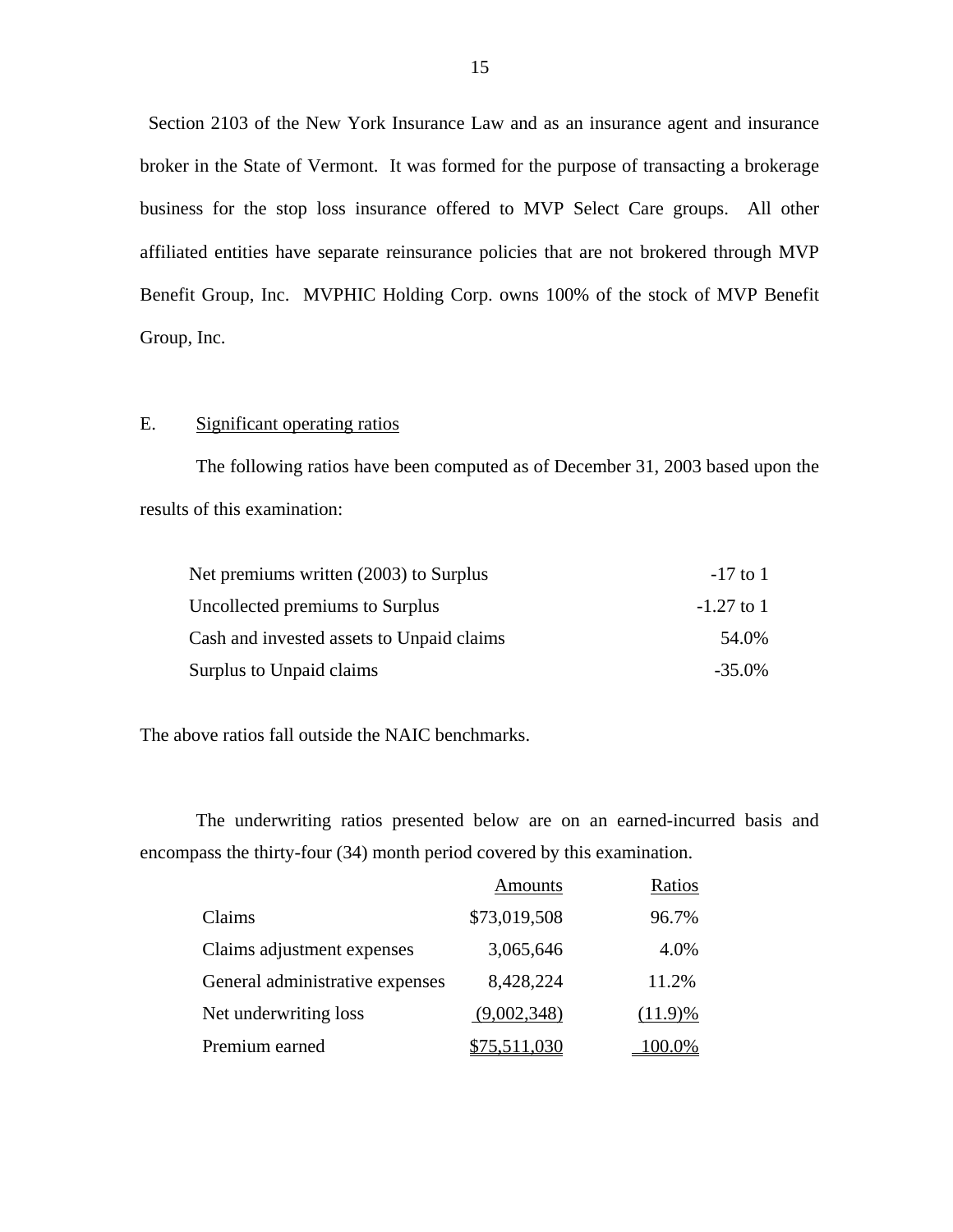Section 2103 of the New York Insurance Law and as an insurance agent and insurance broker in the State of Vermont. It was formed for the purpose of transacting a brokerage business for the stop loss insurance offered to MVP Select Care groups. All other affiliated entities have separate reinsurance policies that are not brokered through MVP Benefit Group, Inc. MVPHIC Holding Corp. owns 100% of the stock of MVP Benefit Group, Inc.

# E. Significant operating ratios

The following ratios have been computed as of December 31, 2003 based upon the results of this examination:

| Net premiums written (2003) to Surplus    | $-17$ to 1   |
|-------------------------------------------|--------------|
| Uncollected premiums to Surplus           | $-1.27$ to 1 |
| Cash and invested assets to Unpaid claims | 54.0%        |
| Surplus to Unpaid claims                  | $-35.0\%$    |

The above ratios fall outside the NAIC benchmarks.

The underwriting ratios presented below are on an earned-incurred basis and encompass the thirty-four (34) month period covered by this examination.

|                                 | <b>Amounts</b> | Ratios     |
|---------------------------------|----------------|------------|
| Claims                          | \$73,019,508   | 96.7%      |
| Claims adjustment expenses      | 3,065,646      | 4.0%       |
| General administrative expenses | 8,428,224      | 11.2%      |
| Net underwriting loss           | (9,002,348)    | $(11.9)\%$ |
| Premium earned                  |                | 0.0%       |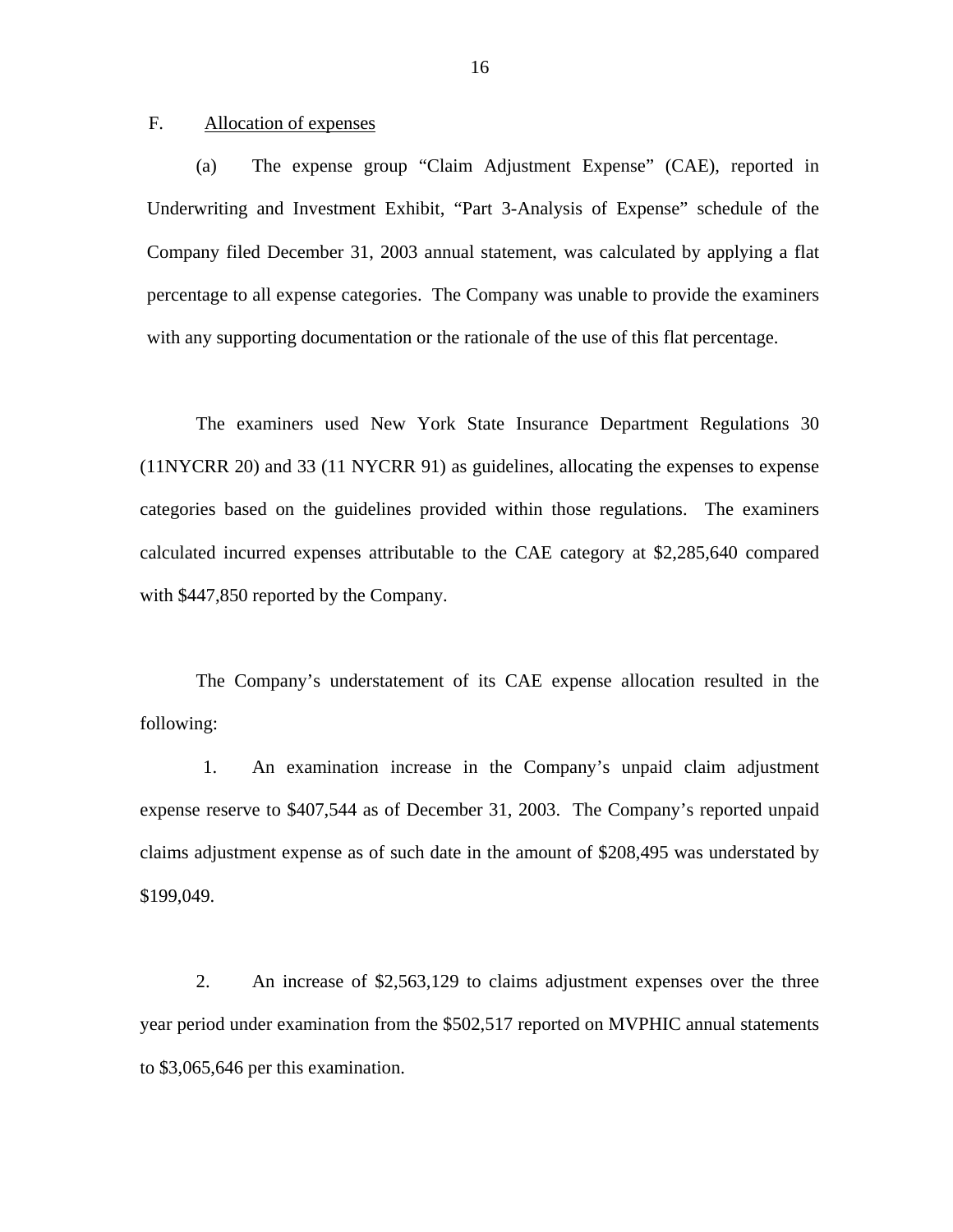<span id="page-18-0"></span>F. Allocation of expenses

(a) The expense group "Claim Adjustment Expense" (CAE), reported in Underwriting and Investment Exhibit, "Part 3-Analysis of Expense" schedule of the Company filed December 31, 2003 annual statement, was calculated by applying a flat percentage to all expense categories. The Company was unable to provide the examiners with any supporting documentation or the rationale of the use of this flat percentage.

The examiners used New York State Insurance Department Regulations 30 (11NYCRR 20) and 33 (11 NYCRR 91) as guidelines, allocating the expenses to expense categories based on the guidelines provided within those regulations. The examiners calculated incurred expenses attributable to the CAE category at \$2,285,640 compared with \$447,850 reported by the Company.

The Company's understatement of its CAE expense allocation resulted in the following:

1. An examination increase in the Company's unpaid claim adjustment expense reserve to \$407,544 as of December 31, 2003. The Company's reported unpaid claims adjustment expense as of such date in the amount of \$208,495 was understated by \$199,049.

2. An increase of \$2,563,129 to claims adjustment expenses over the three year period under examination from the \$502,517 reported on MVPHIC annual statements to \$3,065,646 per this examination.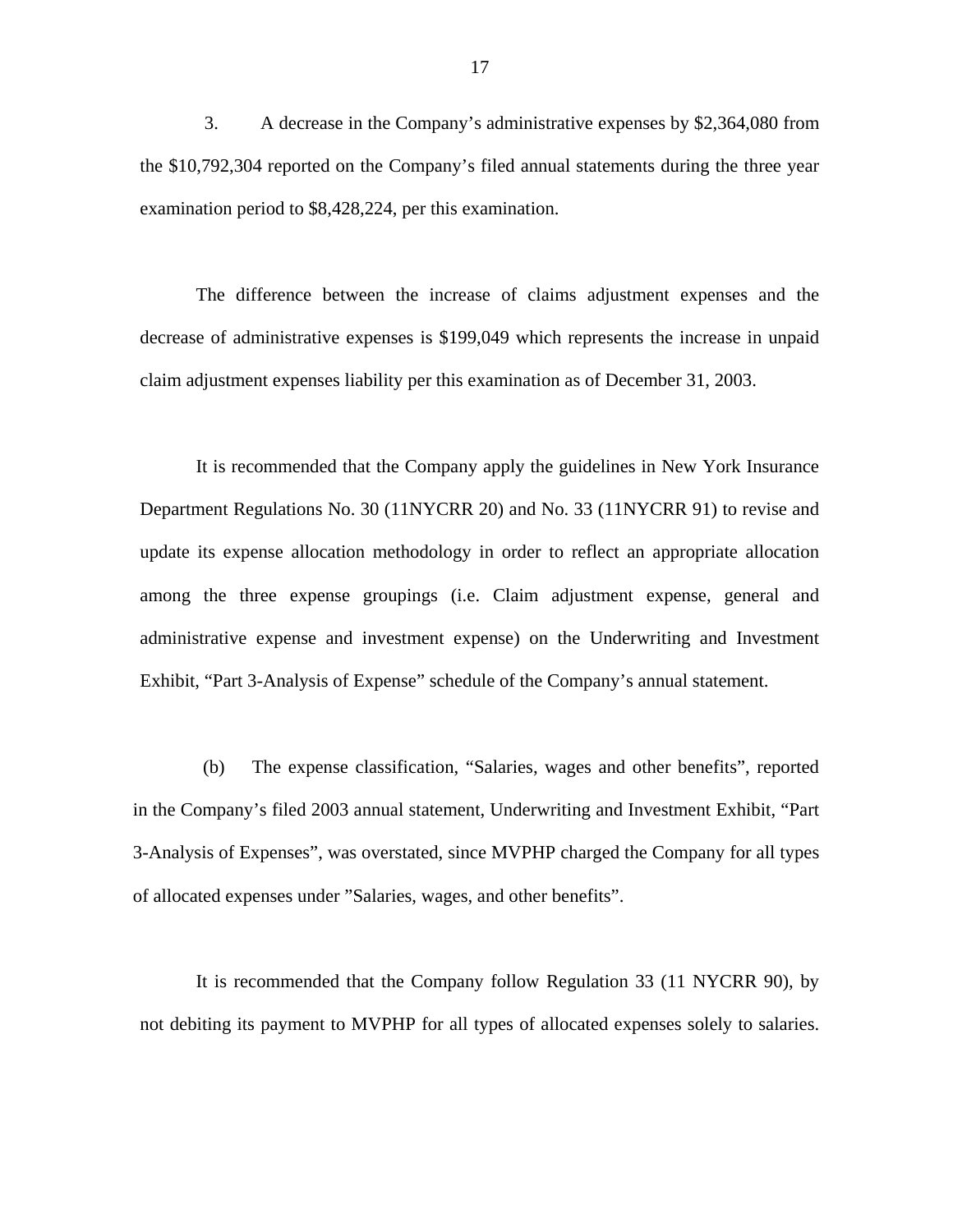3. A decrease in the Company's administrative expenses by \$2,364,080 from the \$10,792,304 reported on the Company's filed annual statements during the three year examination period to \$8,428,224, per this examination.

The difference between the increase of claims adjustment expenses and the decrease of administrative expenses is \$199,049 which represents the increase in unpaid claim adjustment expenses liability per this examination as of December 31, 2003.

It is recommended that the Company apply the guidelines in New York Insurance Department Regulations No. 30 (11NYCRR 20) and No. 33 (11NYCRR 91) to revise and update its expense allocation methodology in order to reflect an appropriate allocation among the three expense groupings (i.e. Claim adjustment expense, general and administrative expense and investment expense) on the Underwriting and Investment Exhibit, "Part 3-Analysis of Expense" schedule of the Company's annual statement.

(b) The expense classification, "Salaries, wages and other benefits", reported in the Company's filed 2003 annual statement, Underwriting and Investment Exhibit, "Part 3-Analysis of Expenses", was overstated, since MVPHP charged the Company for all types of allocated expenses under "Salaries, wages, and other benefits".

 not debiting its payment to MVPHP for all types of allocated expenses solely to salaries. It is recommended that the Company follow Regulation 33 (11 NYCRR 90), by

17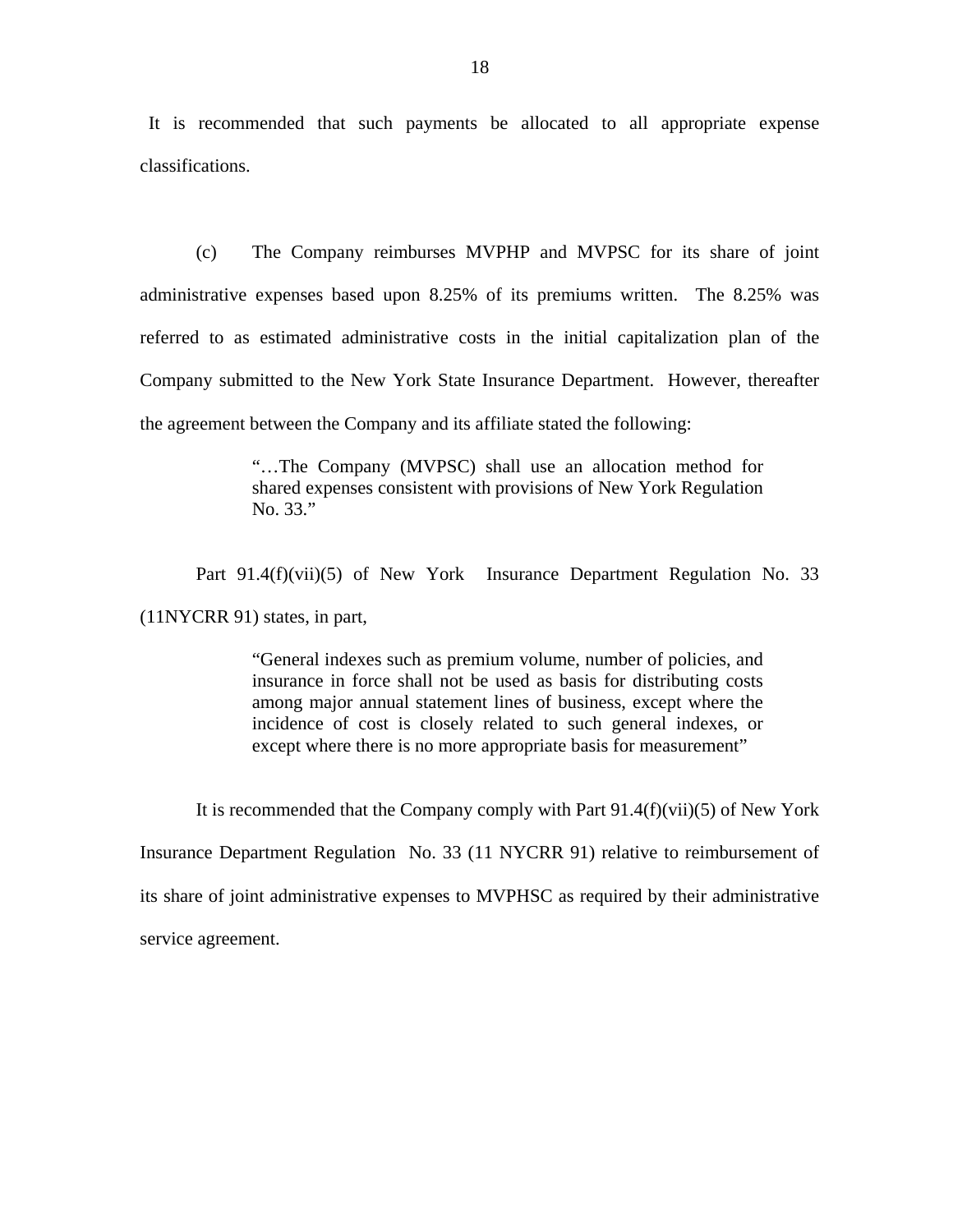It is recommended that such payments be allocated to all appropriate expense classifications.

(c) The Company reimburses MVPHP and MVPSC for its share of joint administrative expenses based upon 8.25% of its premiums written. The 8.25% was referred to as estimated administrative costs in the initial capitalization plan of the Company submitted to the New York State Insurance Department. However, thereafter the agreement between the Company and its affiliate stated the following:

> "…The Company (MVPSC) shall use an allocation method for shared expenses consistent with provisions of New York Regulation No. 33."

Part 91.4(f)(vii)(5) of New York Insurance Department Regulation No. 33 (11NYCRR 91) states, in part,

> "General indexes such as premium volume, number of policies, and insurance in force shall not be used as basis for distributing costs among major annual statement lines of business, except where the incidence of cost is closely related to such general indexes, or except where there is no more appropriate basis for measurement"

It is recommended that the Company comply with Part  $91.4(f)(vii)(5)$  of New York Insurance Department Regulation No. 33 (11 NYCRR 91) relative to reimbursement of its share of joint administrative expenses to MVPHSC as required by their administrative service agreement.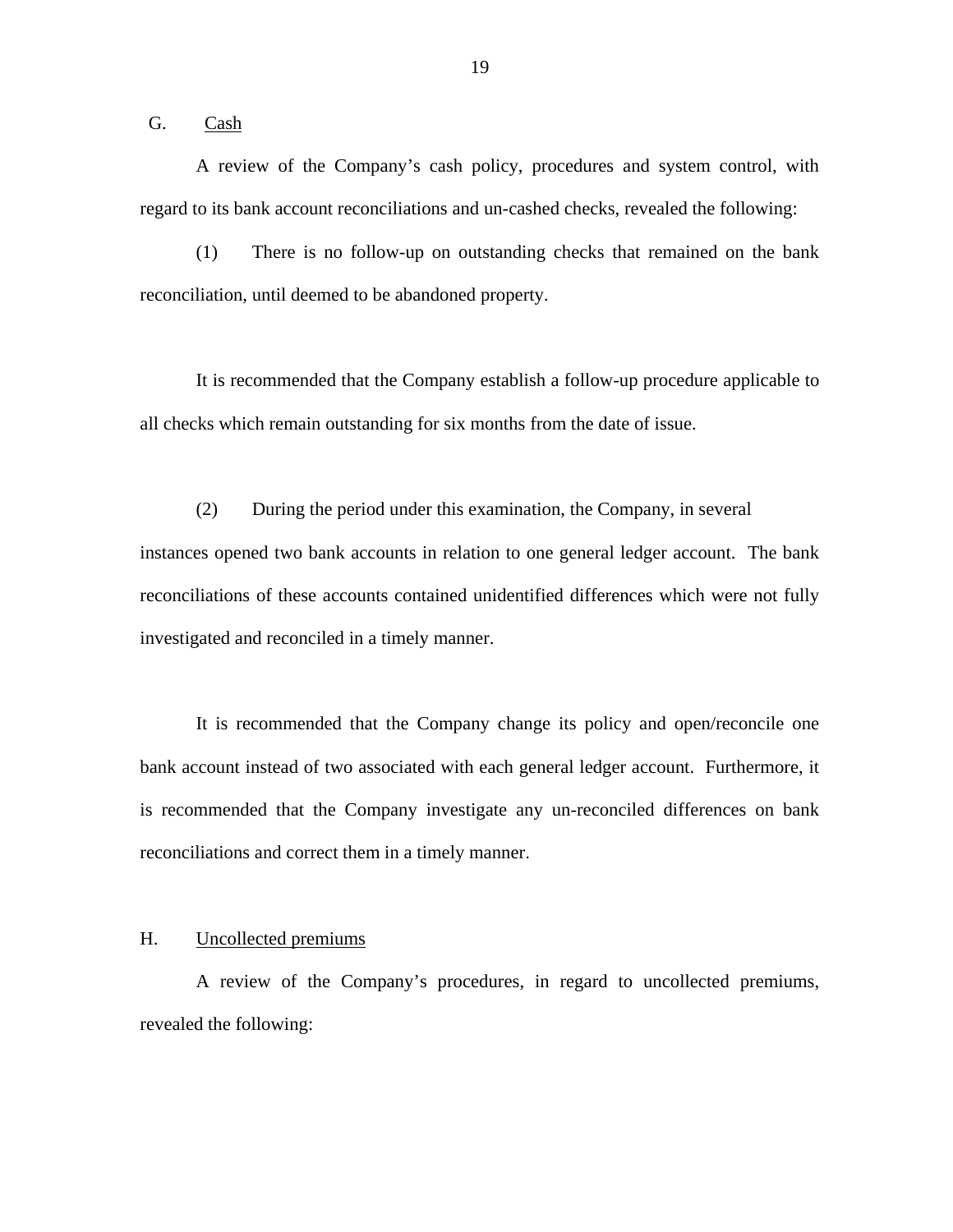<span id="page-21-0"></span>G. Cash

A review of the Company's cash policy, procedures and system control, with regard to its bank account reconciliations and un-cashed checks, revealed the following:

(1) There is no follow-up on outstanding checks that remained on the bank reconciliation, until deemed to be abandoned property.

It is recommended that the Company establish a follow-up procedure applicable to all checks which remain outstanding for six months from the date of issue.

(2) During the period under this examination, the Company, in several instances opened two bank accounts in relation to one general ledger account. The bank reconciliations of these accounts contained unidentified differences which were not fully investigated and reconciled in a timely manner.

It is recommended that the Company change its policy and open/reconcile one bank account instead of two associated with each general ledger account. Furthermore, it is recommended that the Company investigate any un-reconciled differences on bank reconciliations and correct them in a timely manner.

# H. Uncollected premiums

A review of the Company's procedures, in regard to uncollected premiums, revealed the following:

19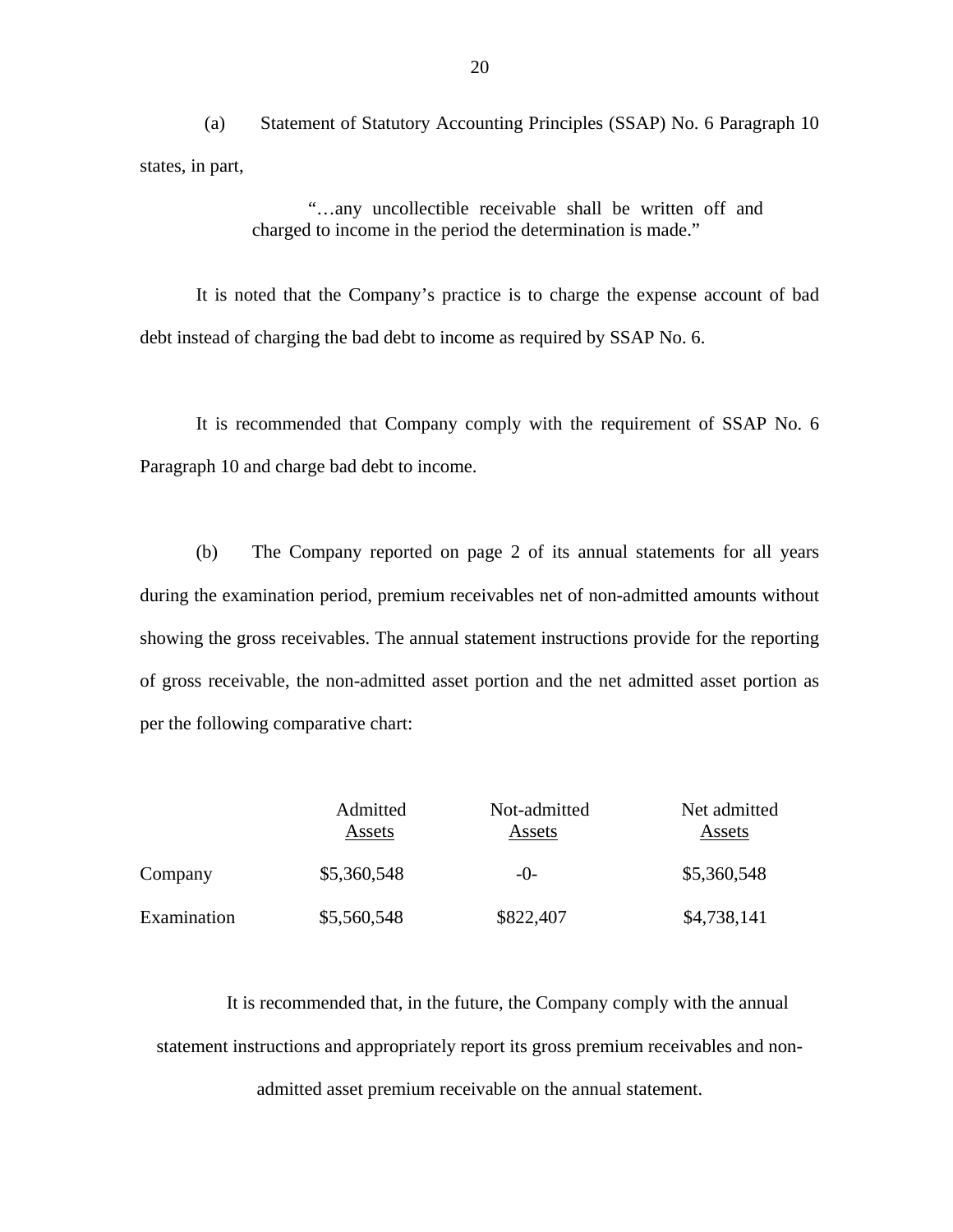(a) Statement of Statutory Accounting Principles (SSAP) No. 6 Paragraph 10 states, in part,

> "…any uncollectible receivable shall be written off and charged to income in the period the determination is made."

It is noted that the Company's practice is to charge the expense account of bad debt instead of charging the bad debt to income as required by SSAP No. 6.

It is recommended that Company comply with the requirement of SSAP No. 6 Paragraph 10 and charge bad debt to income.

(b) The Company reported on page 2 of its annual statements for all years during the examination period, premium receivables net of non-admitted amounts without showing the gross receivables. The annual statement instructions provide for the reporting of gross receivable, the non-admitted asset portion and the net admitted asset portion as per the following comparative chart:

|             | Admitted<br>Assets | Not-admitted<br>Assets | Net admitted<br>Assets |
|-------------|--------------------|------------------------|------------------------|
| Company     | \$5,360,548        | $-()$                  | \$5,360,548            |
| Examination | \$5,560,548        | \$822,407              | \$4,738,141            |

It is recommended that, in the future, the Company comply with the annual statement instructions and appropriately report its gross premium receivables and nonadmitted asset premium receivable on the annual statement.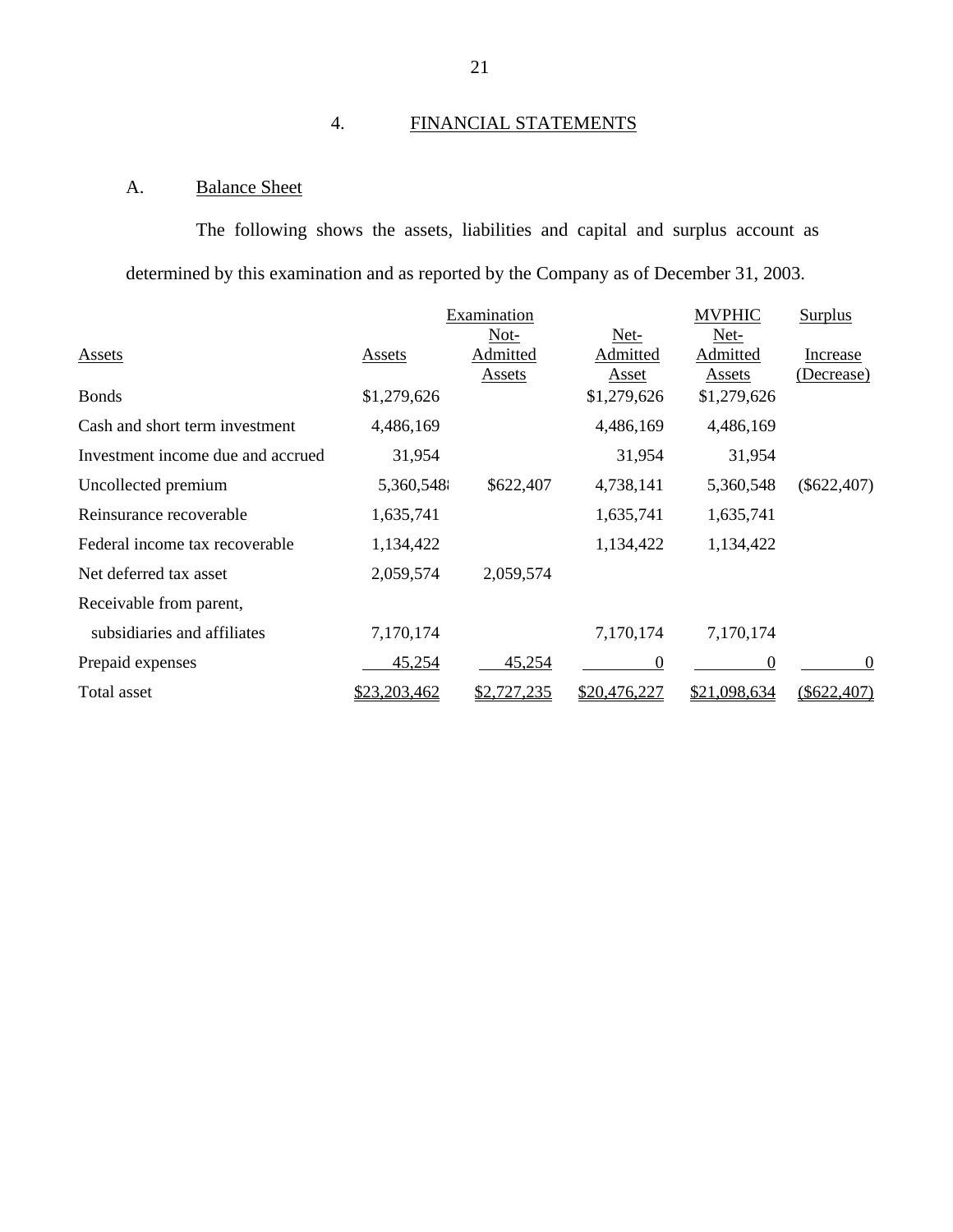# 4. FINANCIAL STATEMENTS

# A. Balance Sheet

The following shows the assets, liabilities and capital and surplus account as determined by this examination and as reported by the Company as of December 31, 2003.

|                                   |              | Examination   |                | <b>MVPHIC</b>  | <b>Surplus</b> |
|-----------------------------------|--------------|---------------|----------------|----------------|----------------|
|                                   |              | $Not-$        | Net-           | Net-           |                |
| <b>Assets</b>                     | Assets       | Admitted      | Admitted       | Admitted       | Increase       |
|                                   |              | <b>Assets</b> | <b>Asset</b>   | <b>Assets</b>  | (Decrease)     |
| <b>Bonds</b>                      | \$1,279,626  |               | \$1,279,626    | \$1,279,626    |                |
| Cash and short term investment    | 4,486,169    |               | 4,486,169      | 4,486,169      |                |
| Investment income due and accrued | 31,954       |               | 31,954         | 31,954         |                |
| Uncollected premium               | 5,360,548    | \$622,407     | 4,738,141      | 5,360,548      | $(\$622,407)$  |
| Reinsurance recoverable           | 1,635,741    |               | 1,635,741      | 1,635,741      |                |
| Federal income tax recoverable    | 1,134,422    |               | 1,134,422      | 1,134,422      |                |
| Net deferred tax asset            | 2,059,574    | 2,059,574     |                |                |                |
| Receivable from parent,           |              |               |                |                |                |
| subsidiaries and affiliates       | 7,170,174    |               | 7,170,174      | 7,170,174      |                |
| Prepaid expenses                  | 45,254       | 45,254        | $\overline{0}$ | $\overline{0}$ | $\theta$       |
| Total asset                       | \$23,203,462 | \$2,727,235   | \$20,476,227   | \$21,098,634   | $(\$622,407)$  |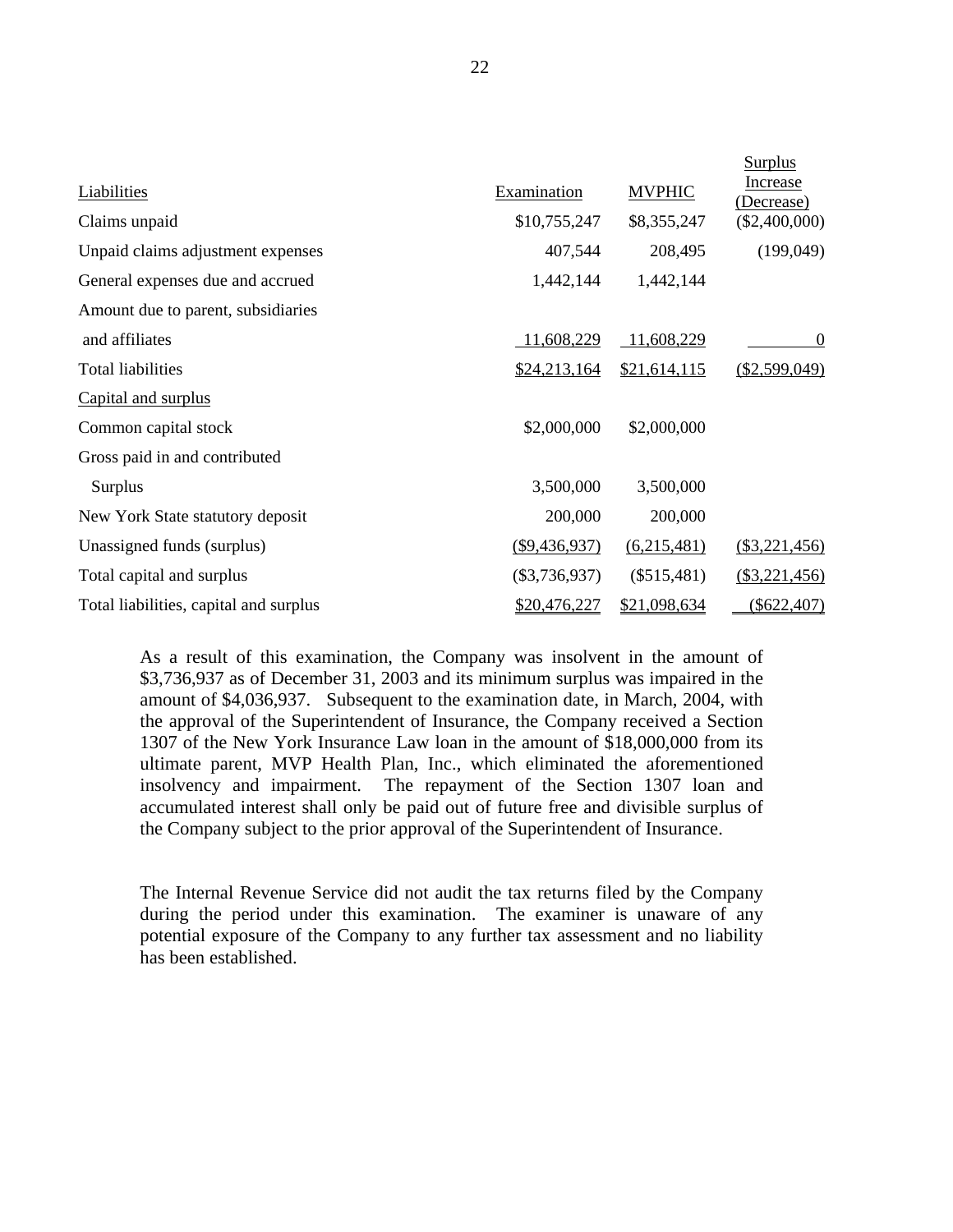|                                        |                 |               | Surplus                |
|----------------------------------------|-----------------|---------------|------------------------|
| Liabilities                            | Examination     | <b>MVPHIC</b> | Increase<br>(Decrease) |
| Claims unpaid                          | \$10,755,247    | \$8,355,247   | $(\$2,400,000)$        |
| Unpaid claims adjustment expenses      | 407,544         | 208,495       | (199,049)              |
| General expenses due and accrued       | 1,442,144       | 1,442,144     |                        |
| Amount due to parent, subsidiaries     |                 |               |                        |
| and affiliates                         | 11,608,229      | 11,608,229    | $\theta$               |
| <b>Total liabilities</b>               | \$24,213,164    | \$21,614,115  | (\$2,599,049)          |
| Capital and surplus                    |                 |               |                        |
| Common capital stock                   | \$2,000,000     | \$2,000,000   |                        |
| Gross paid in and contributed          |                 |               |                        |
| Surplus                                | 3,500,000       | 3,500,000     |                        |
| New York State statutory deposit       | 200,000         | 200,000       |                        |
| Unassigned funds (surplus)             | ( \$9,436,937)  | (6,215,481)   | (\$3,221,456)          |
| Total capital and surplus              | $(\$3,736,937)$ | $(\$515,481)$ | (\$3,221,456)          |
| Total liabilities, capital and surplus | \$20,476,227    | \$21,098,634  | $(\$622,407)$          |

As a result of this examination, the Company was insolvent in the amount of \$3,736,937 as of December 31, 2003 and its minimum surplus was impaired in the amount of \$4,036,937. Subsequent to the examination date, in March, 2004, with the approval of the Superintendent of Insurance, the Company received a Section 1307 of the New York Insurance Law loan in the amount of \$18,000,000 from its ultimate parent, MVP Health Plan, Inc., which eliminated the aforementioned insolvency and impairment. The repayment of the Section 1307 loan and accumulated interest shall only be paid out of future free and divisible surplus of the Company subject to the prior approval of the Superintendent of Insurance.

The Internal Revenue Service did not audit the tax returns filed by the Company during the period under this examination. The examiner is unaware of any potential exposure of the Company to any further tax assessment and no liability has been established.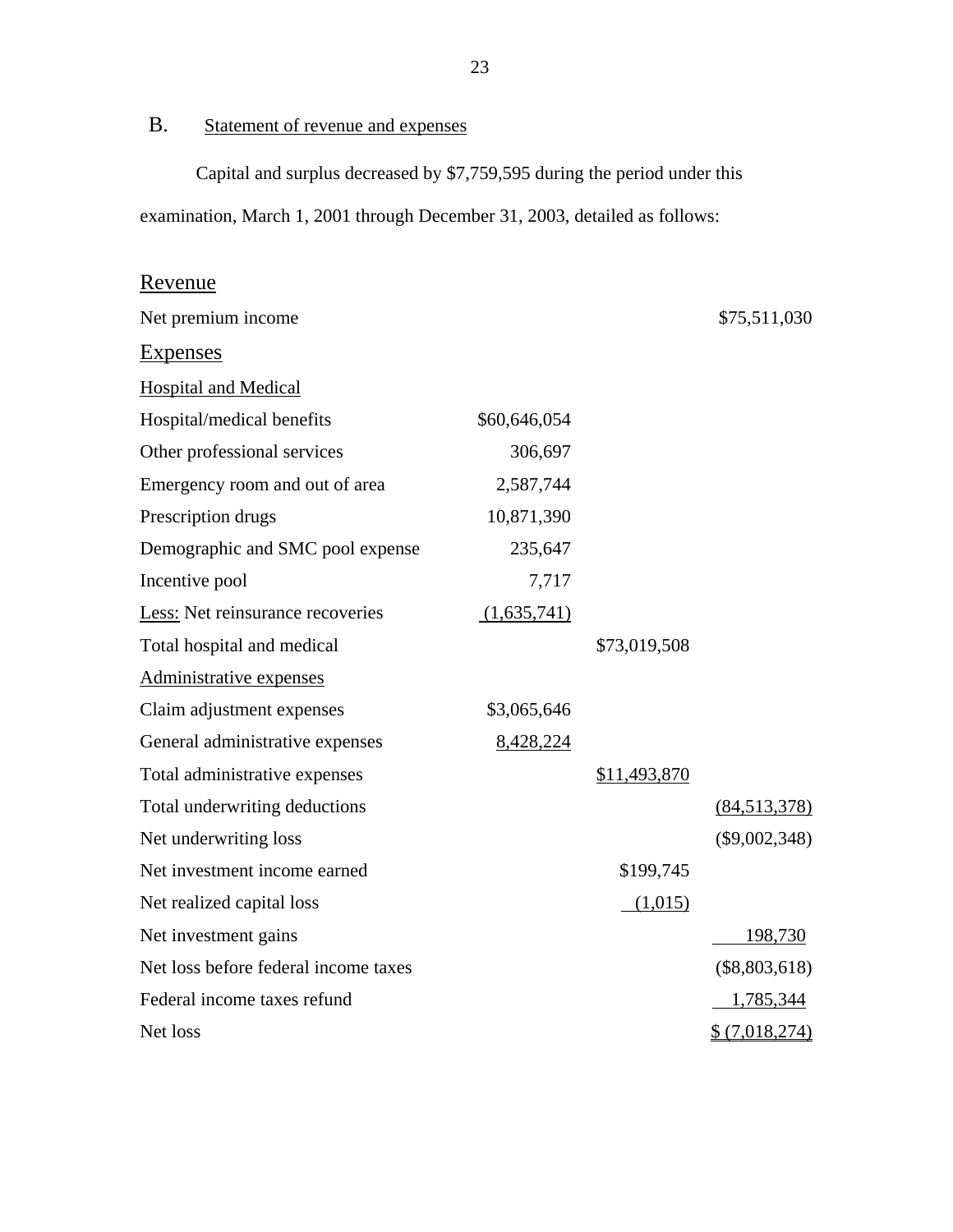B. Statement of revenue and expenses

Capital and surplus decreased by \$7,759,595 during the period under this examination, March 1, 2001 through December 31, 2003, detailed as follows:

# **Hospital and Medical** Administrative expenses Revenue Net premium income  $$75,511,030$ Expenses Hospital/medical benefits  $$60,646,054$ Other professional services 306,697 Emergency room and out of area 2,587,744 Prescription drugs 10,871,390 Demographic and SMC pool expense 235,647 Incentive pool 7,717 Less: Net reinsurance recoveries (1,635,741) Total hospital and medical \$73,019,508 Claim adjustment expenses \$3,065,646 General administrative expenses 8,428,224 Total administrative expenses  $$11,493,870$ Total underwriting deductions (84,513,378) Net underwriting loss (\$9,002,348) Net investment income earned \$199,745 Net realized capital loss (1,015) Net investment gains 198,730 Net loss before federal income taxes (\$8,803,618) Federal income taxes refund 1,785,344 Net loss  $\frac{1}{2}$  (7,018,274)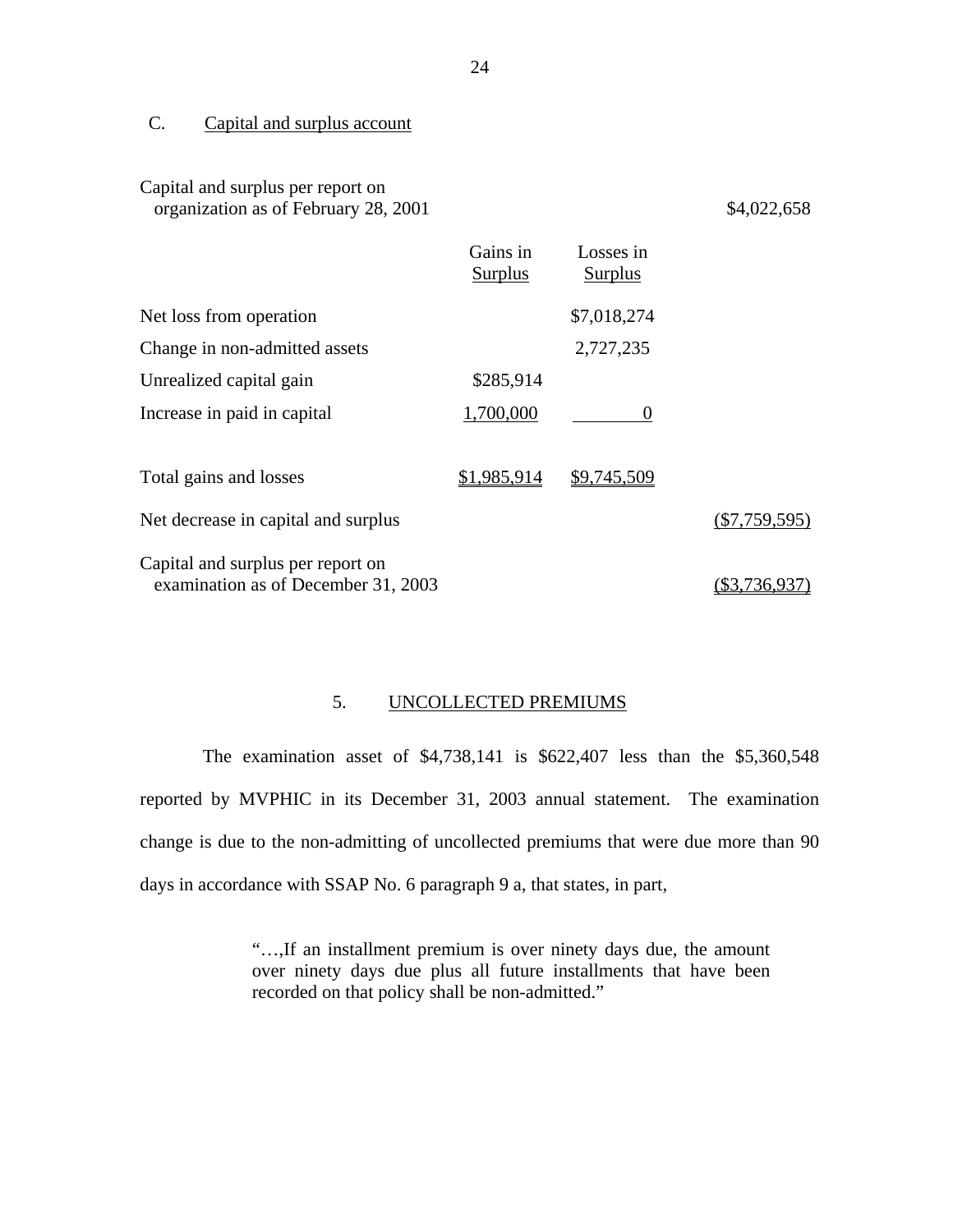# C. Capital and surplus account

# Capital and surplus per report on organization as of February 28, 2001 \$4,022,658

|                                                                          | Gains in<br><b>Surplus</b> | Losses in<br><b>Surplus</b> |                 |
|--------------------------------------------------------------------------|----------------------------|-----------------------------|-----------------|
| Net loss from operation                                                  |                            | \$7,018,274                 |                 |
| Change in non-admitted assets                                            |                            | 2,727,235                   |                 |
| Unrealized capital gain                                                  | \$285,914                  |                             |                 |
| Increase in paid in capital                                              | 1,700,000                  | $\theta$                    |                 |
| Total gains and losses                                                   | \$1,985,914                | \$9,745,509                 |                 |
| Net decrease in capital and surplus                                      |                            |                             | $(\$7,759,595)$ |
| Capital and surplus per report on<br>examination as of December 31, 2003 |                            |                             |                 |

# 5. UNCOLLECTED PREMIUMS

The examination asset of \$4,738,141 is \$622,407 less than the \$5,360,548 reported by MVPHIC in its December 31, 2003 annual statement. The examination change is due to the non-admitting of uncollected premiums that were due more than 90 days in accordance with SSAP No. 6 paragraph 9 a, that states, in part,

> "…,If an installment premium is over ninety days due, the amount over ninety days due plus all future installments that have been recorded on that policy shall be non-admitted."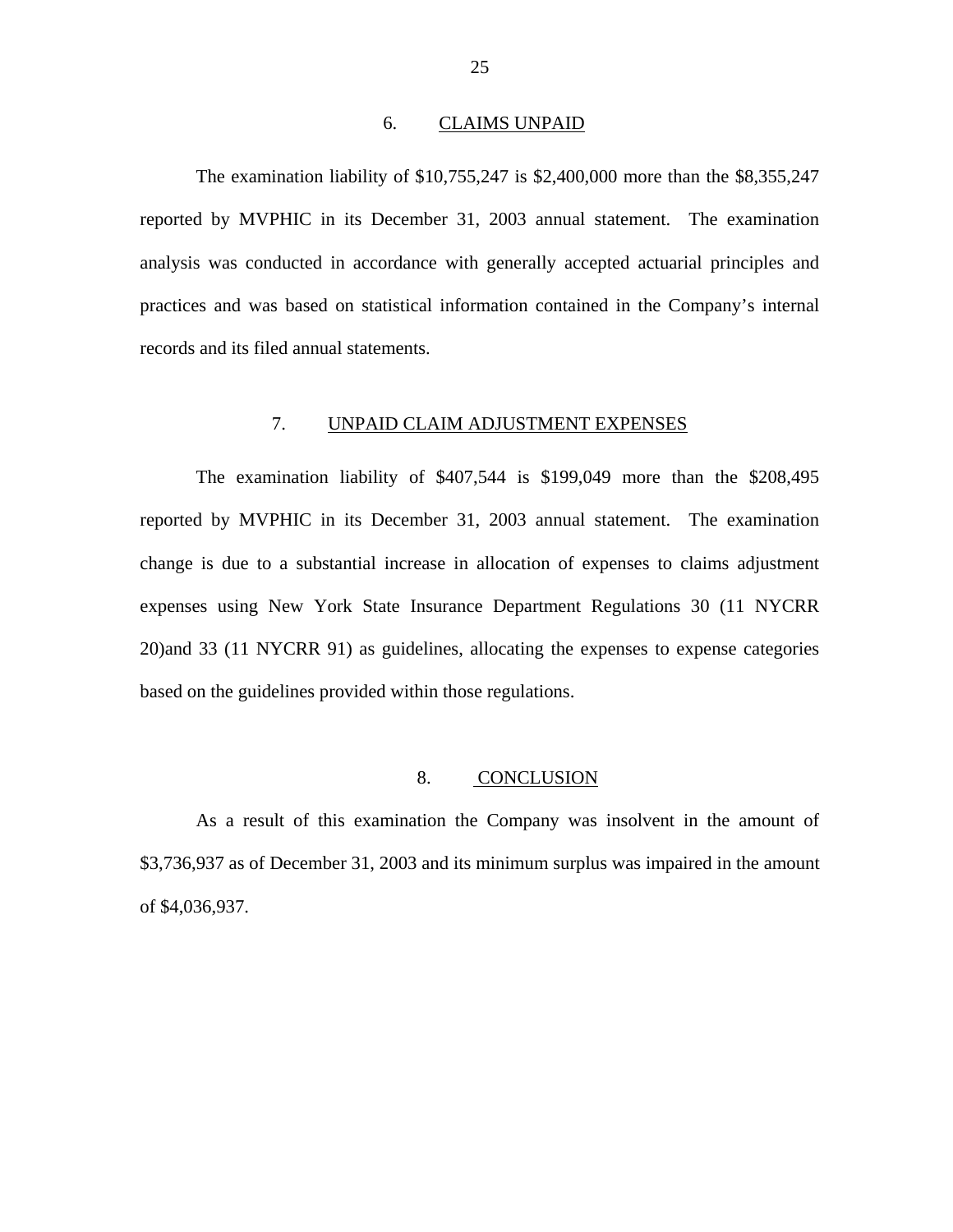#### 6. CLAIMS UNPAID

<span id="page-27-0"></span>The examination liability of \$10,755,247 is \$2,400,000 more than the \$8,355,247 reported by MVPHIC in its December 31, 2003 annual statement. The examination analysis was conducted in accordance with generally accepted actuarial principles and practices and was based on statistical information contained in the Company's internal records and its filed annual statements.

# 7. UNPAID CLAIM ADJUSTMENT EXPENSES

The examination liability of \$407,544 is \$199,049 more than the \$208,495 reported by MVPHIC in its December 31, 2003 annual statement. The examination change is due to a substantial increase in allocation of expenses to claims adjustment expenses using New York State Insurance Department Regulations 30 (11 NYCRR 20)and 33 (11 NYCRR 91) as guidelines, allocating the expenses to expense categories based on the guidelines provided within those regulations.

### 8. CONCLUSION

As a result of this examination the Company was insolvent in the amount of \$3,736,937 as of December 31, 2003 and its minimum surplus was impaired in the amount of \$4,036,937.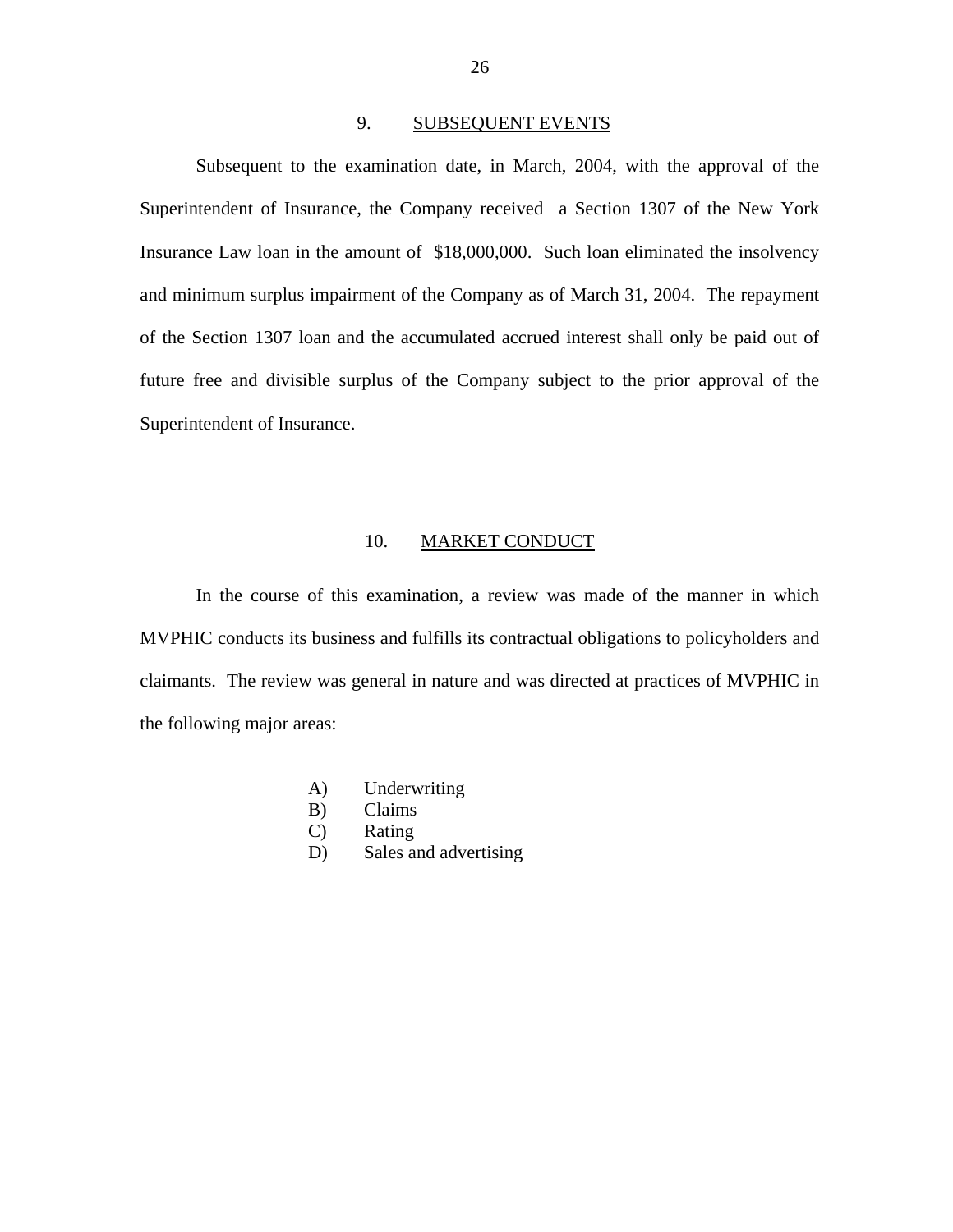# 9. SUBSEQUENT EVENTS

<span id="page-28-0"></span>Subsequent to the examination date, in March, 2004, with the approval of the Superintendent of Insurance, the Company received a Section 1307 of the New York Insurance Law loan in the amount of \$18,000,000. Such loan eliminated the insolvency and minimum surplus impairment of the Company as of March 31, 2004. The repayment of the Section 1307 loan and the accumulated accrued interest shall only be paid out of future free and divisible surplus of the Company subject to the prior approval of the Superintendent of Insurance.

# 10. MARKET CONDUCT

In the course of this examination, a review was made of the manner in which MVPHIC conducts its business and fulfills its contractual obligations to policyholders and claimants. The review was general in nature and was directed at practices of MVPHIC in the following major areas:

- A) Underwriting
- B) Claims
- C) Rating
- D) Sales and advertising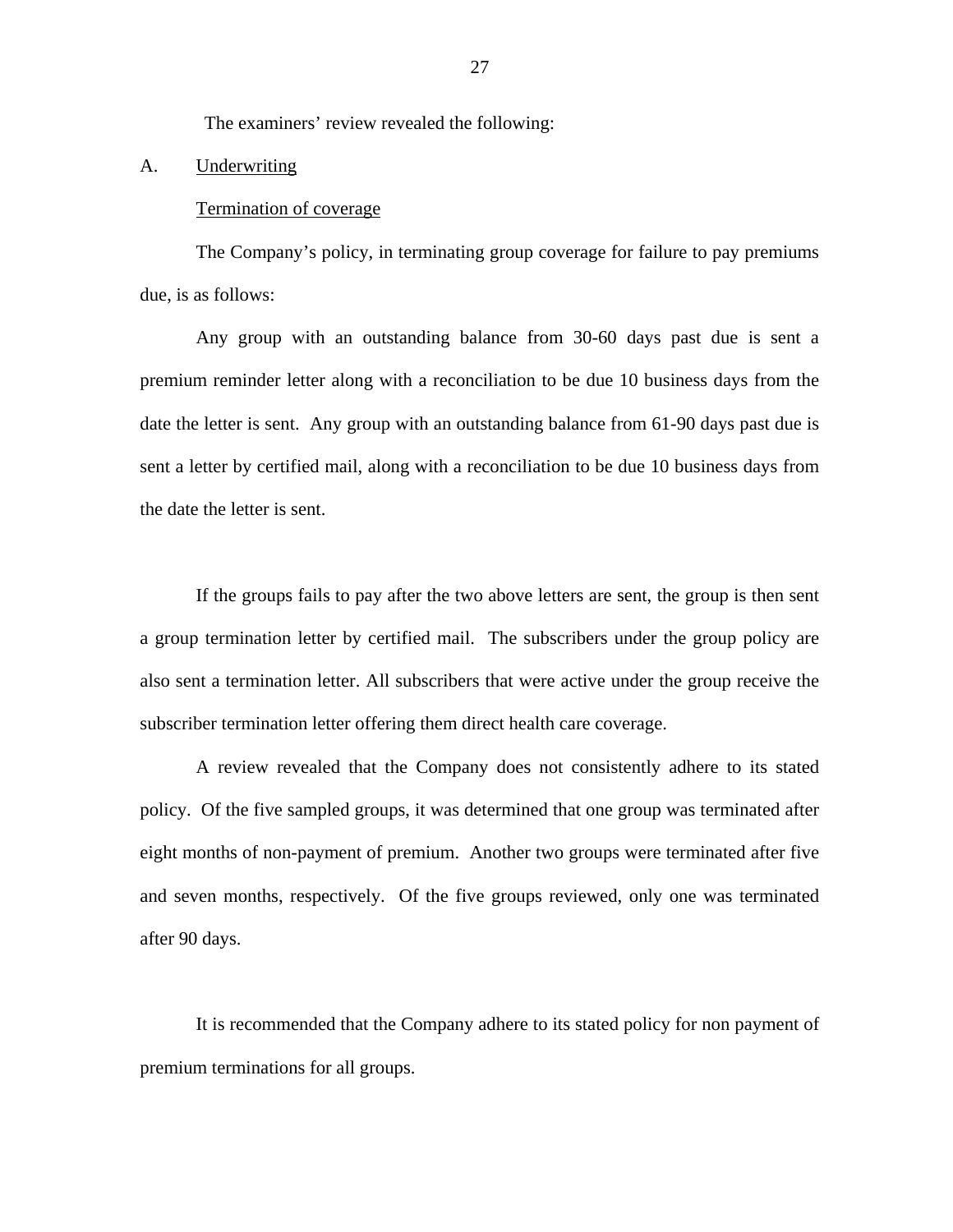The examiners' review revealed the following:

# A. Underwriting

## Termination of coverage

The Company's policy, in terminating group coverage for failure to pay premiums due, is as follows:

Any group with an outstanding balance from 30-60 days past due is sent a premium reminder letter along with a reconciliation to be due 10 business days from the date the letter is sent. Any group with an outstanding balance from 61-90 days past due is sent a letter by certified mail, along with a reconciliation to be due 10 business days from the date the letter is sent.

If the groups fails to pay after the two above letters are sent, the group is then sent a group termination letter by certified mail. The subscribers under the group policy are also sent a termination letter. All subscribers that were active under the group receive the subscriber termination letter offering them direct health care coverage.

A review revealed that the Company does not consistently adhere to its stated policy. Of the five sampled groups, it was determined that one group was terminated after eight months of non-payment of premium. Another two groups were terminated after five and seven months, respectively. Of the five groups reviewed, only one was terminated after 90 days.

It is recommended that the Company adhere to its stated policy for non payment of premium terminations for all groups.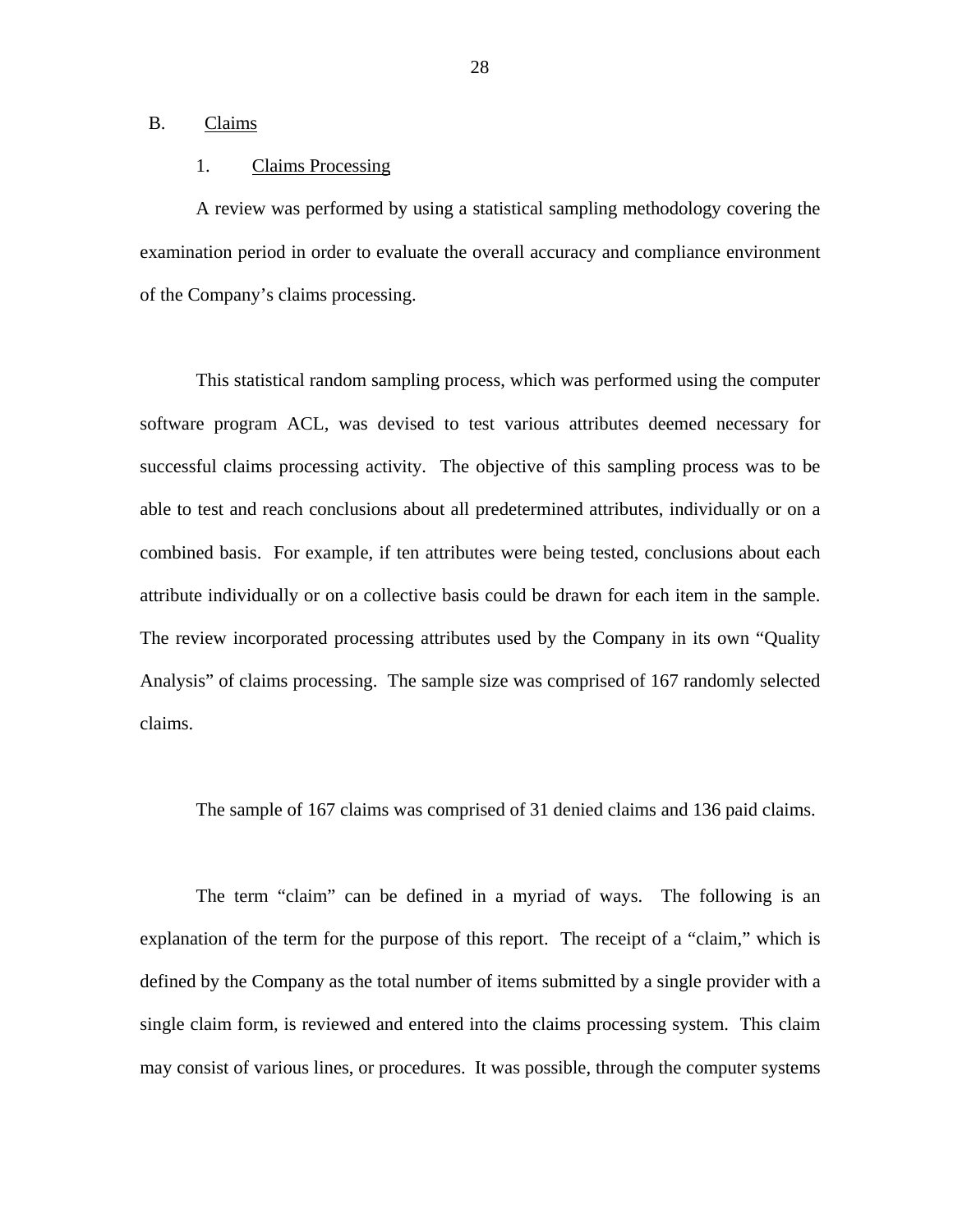# B. Claims

# 1. Claims Processing

A review was performed by using a statistical sampling methodology covering the examination period in order to evaluate the overall accuracy and compliance environment of the Company's claims processing.

This statistical random sampling process, which was performed using the computer software program ACL, was devised to test various attributes deemed necessary for successful claims processing activity. The objective of this sampling process was to be able to test and reach conclusions about all predetermined attributes, individually or on a combined basis. For example, if ten attributes were being tested, conclusions about each attribute individually or on a collective basis could be drawn for each item in the sample. The review incorporated processing attributes used by the Company in its own "Quality Analysis" of claims processing. The sample size was comprised of 167 randomly selected claims.

The sample of 167 claims was comprised of 31 denied claims and 136 paid claims.

The term "claim" can be defined in a myriad of ways. The following is an explanation of the term for the purpose of this report. The receipt of a "claim," which is defined by the Company as the total number of items submitted by a single provider with a single claim form, is reviewed and entered into the claims processing system. This claim may consist of various lines, or procedures. It was possible, through the computer systems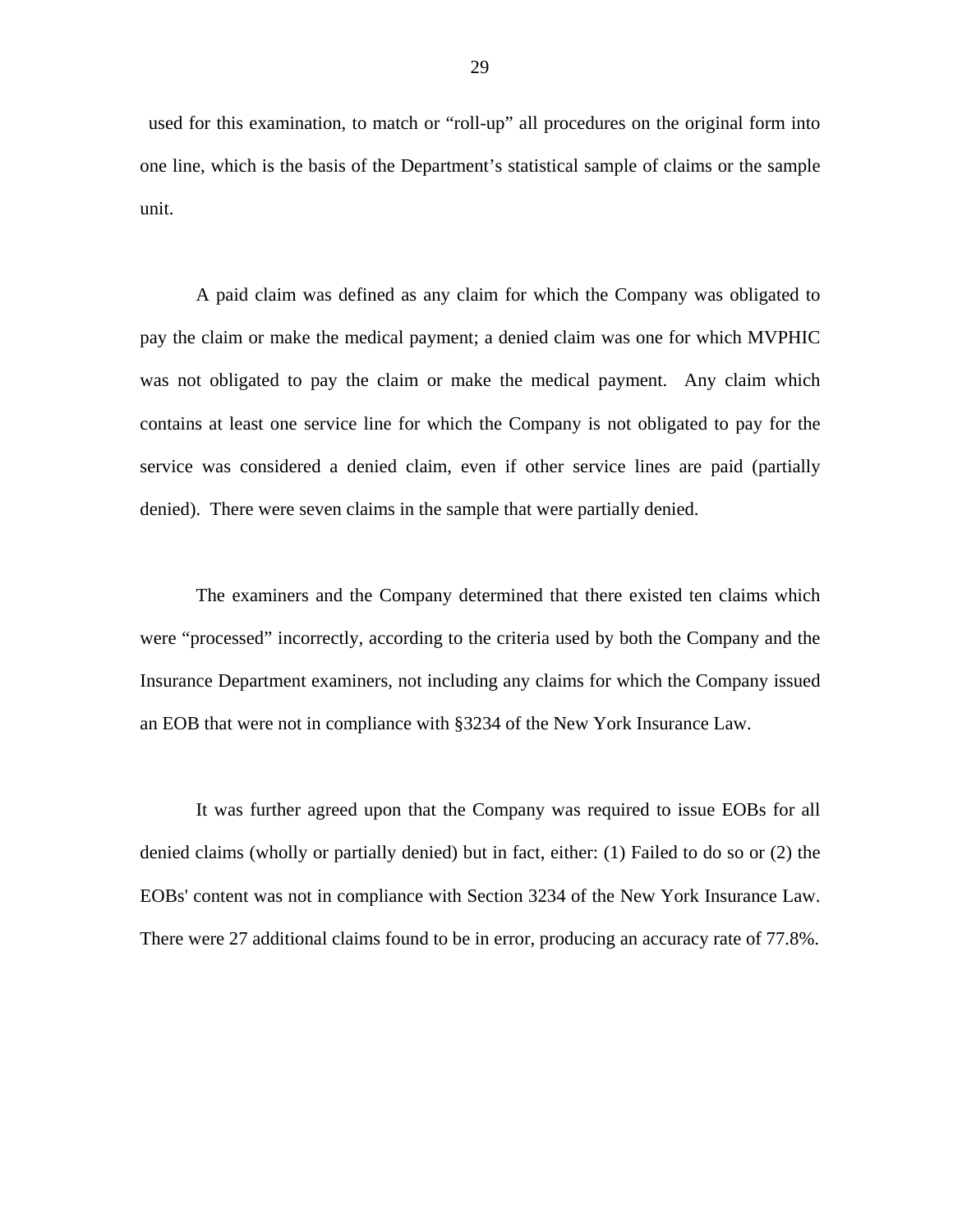used for this examination, to match or "roll-up" all procedures on the original form into one line, which is the basis of the Department's statistical sample of claims or the sample unit.

A paid claim was defined as any claim for which the Company was obligated to pay the claim or make the medical payment; a denied claim was one for which MVPHIC was not obligated to pay the claim or make the medical payment. Any claim which contains at least one service line for which the Company is not obligated to pay for the service was considered a denied claim, even if other service lines are paid (partially denied). There were seven claims in the sample that were partially denied.

The examiners and the Company determined that there existed ten claims which were "processed" incorrectly, according to the criteria used by both the Company and the Insurance Department examiners, not including any claims for which the Company issued an EOB that were not in compliance with §3234 of the New York Insurance Law.

It was further agreed upon that the Company was required to issue EOBs for all denied claims (wholly or partially denied) but in fact, either: (1) Failed to do so or (2) the EOBs' content was not in compliance with Section 3234 of the New York Insurance Law. There were 27 additional claims found to be in error, producing an accuracy rate of 77.8%.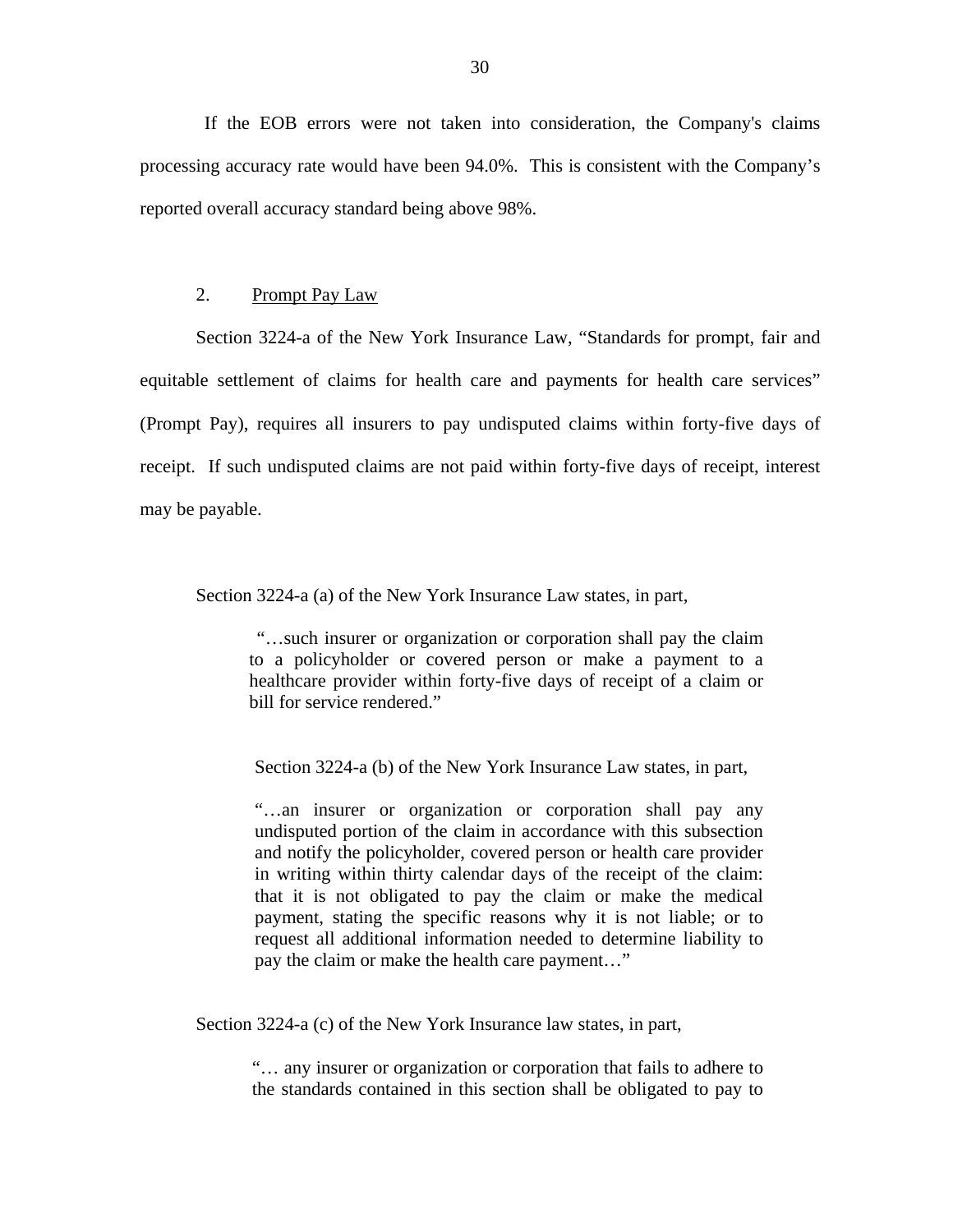If the EOB errors were not taken into consideration, the Company's claims processing accuracy rate would have been 94.0%. This is consistent with the Company's reported overall accuracy standard being above 98%.

# 2. Prompt Pay Law

Section 3224-a of the New York Insurance Law, "Standards for prompt, fair and equitable settlement of claims for health care and payments for health care services" (Prompt Pay), requires all insurers to pay undisputed claims within forty-five days of receipt. If such undisputed claims are not paid within forty-five days of receipt, interest may be payable.

Section 3224-a (a) of the New York Insurance Law states, in part,

"…such insurer or organization or corporation shall pay the claim to a policyholder or covered person or make a payment to a healthcare provider within forty-five days of receipt of a claim or bill for service rendered."

Section 3224-a (b) of the New York Insurance Law states, in part,

"…an insurer or organization or corporation shall pay any undisputed portion of the claim in accordance with this subsection and notify the policyholder, covered person or health care provider in writing within thirty calendar days of the receipt of the claim: that it is not obligated to pay the claim or make the medical payment, stating the specific reasons why it is not liable; or to request all additional information needed to determine liability to pay the claim or make the health care payment…"

Section 3224-a (c) of the New York Insurance law states, in part,

"… any insurer or organization or corporation that fails to adhere to the standards contained in this section shall be obligated to pay to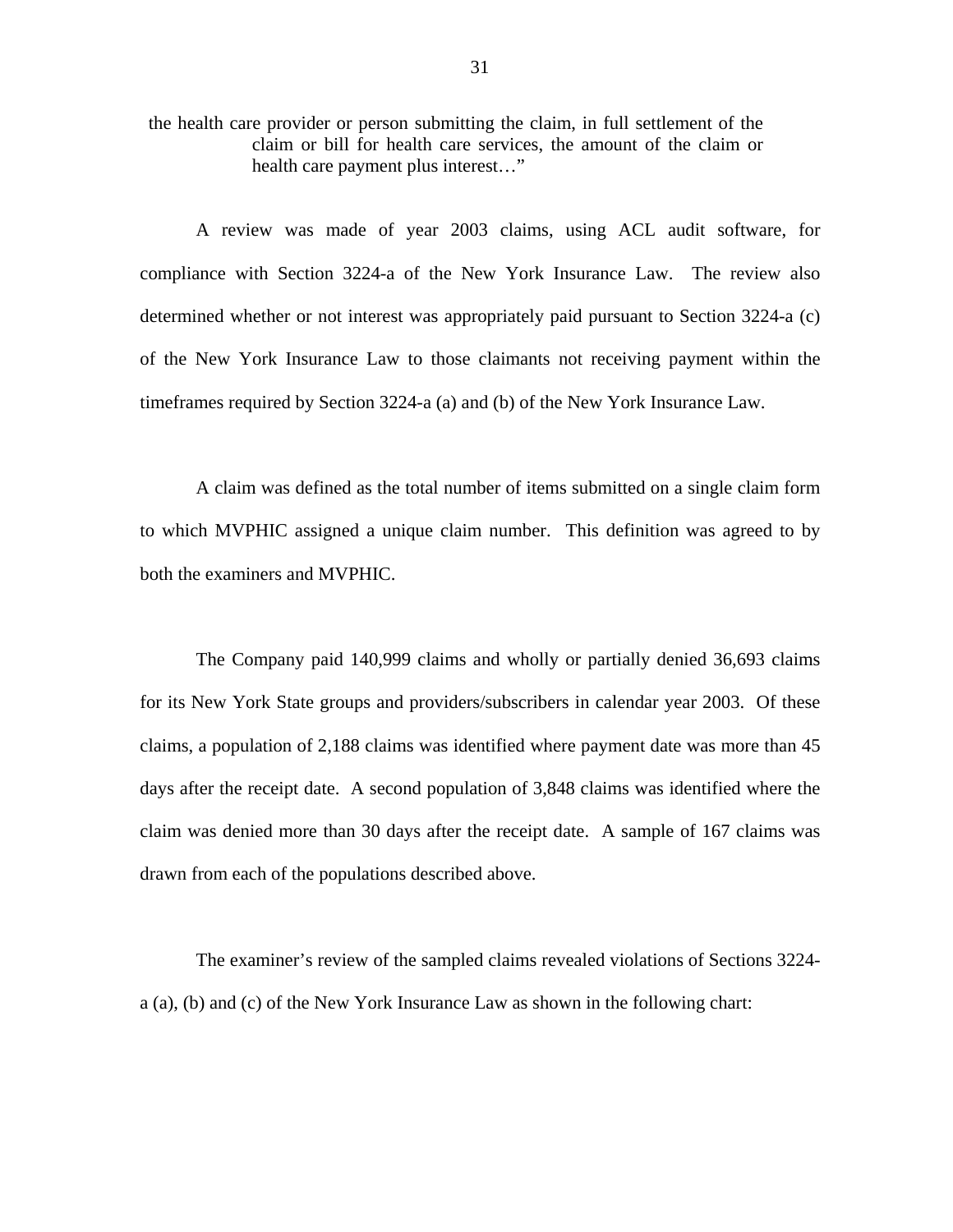the health care provider or person submitting the claim, in full settlement of the claim or bill for health care services, the amount of the claim or health care payment plus interest…"

A review was made of year 2003 claims, using ACL audit software, for compliance with Section 3224-a of the New York Insurance Law. The review also determined whether or not interest was appropriately paid pursuant to Section 3224-a (c) of the New York Insurance Law to those claimants not receiving payment within the timeframes required by Section 3224-a (a) and (b) of the New York Insurance Law.

A claim was defined as the total number of items submitted on a single claim form to which MVPHIC assigned a unique claim number. This definition was agreed to by both the examiners and MVPHIC.

The Company paid 140,999 claims and wholly or partially denied 36,693 claims for its New York State groups and providers/subscribers in calendar year 2003. Of these claims, a population of 2,188 claims was identified where payment date was more than 45 days after the receipt date. A second population of 3,848 claims was identified where the claim was denied more than 30 days after the receipt date. A sample of 167 claims was drawn from each of the populations described above.

The examiner's review of the sampled claims revealed violations of Sections 3224 a (a), (b) and (c) of the New York Insurance Law as shown in the following chart: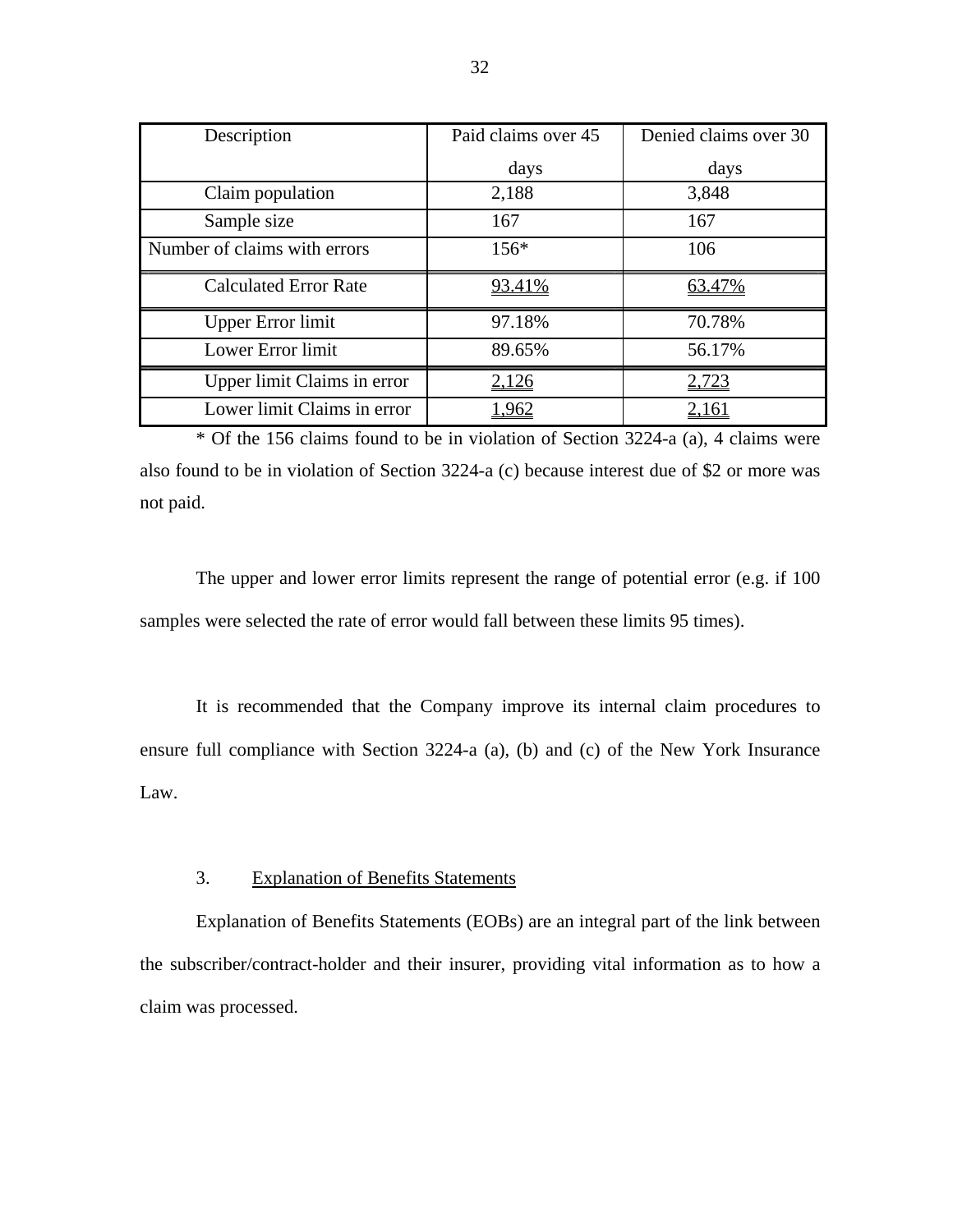| Description                  | Paid claims over 45 | Denied claims over 30 |
|------------------------------|---------------------|-----------------------|
|                              | days                | days                  |
| Claim population             | 2,188               | 3,848                 |
| Sample size                  | 167                 | 167                   |
| Number of claims with errors | $156*$              | 106                   |
| <b>Calculated Error Rate</b> | <u>93.41%</u>       | 63.47%                |
| <b>Upper Error limit</b>     | 97.18%              | 70.78%                |
| Lower Error limit            | 89.65%              | 56.17%                |
| Upper limit Claims in error  | 2,126               | 2,723                 |
| Lower limit Claims in error  |                     |                       |

\* Of the 156 claims found to be in violation of Section 3224-a (a), 4 claims were also found to be in violation of Section 3224-a (c) because interest due of \$2 or more was not paid.

The upper and lower error limits represent the range of potential error (e.g. if 100 samples were selected the rate of error would fall between these limits 95 times).

It is recommended that the Company improve its internal claim procedures to ensure full compliance with Section 3224-a (a), (b) and (c) of the New York Insurance Law.

# 3. Explanation of Benefits Statements

Explanation of Benefits Statements (EOBs) are an integral part of the link between the subscriber/contract-holder and their insurer, providing vital information as to how a claim was processed.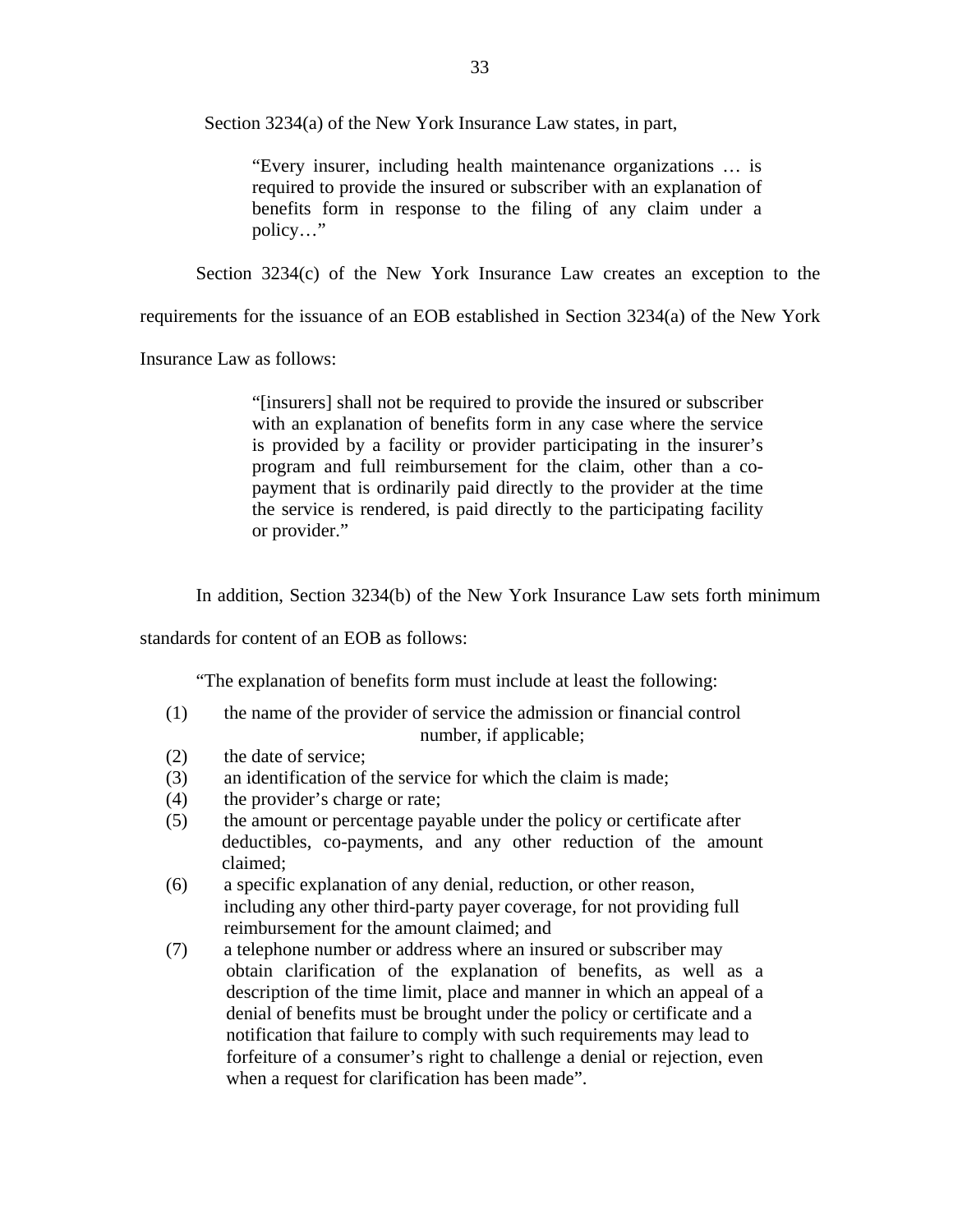Section 3234(a) of the New York Insurance Law states, in part,

"Every insurer, including health maintenance organizations … is required to provide the insured or subscriber with an explanation of benefits form in response to the filing of any claim under a policy…"

Section 3234(c) of the New York Insurance Law creates an exception to the

requirements for the issuance of an EOB established in Section 3234(a) of the New York

Insurance Law as follows:

"[insurers] shall not be required to provide the insured or subscriber with an explanation of benefits form in any case where the service is provided by a facility or provider participating in the insurer's program and full reimbursement for the claim, other than a copayment that is ordinarily paid directly to the provider at the time the service is rendered, is paid directly to the participating facility or provider."

In addition, Section 3234(b) of the New York Insurance Law sets forth minimum

standards for content of an EOB as follows:

"The explanation of benefits form must include at least the following:

- (1) the name of the provider of service the admission or financial control number, if applicable;
- (2) the date of service;
- (3) an identification of the service for which the claim is made;
- (4) the provider's charge or rate;
- (5) the amount or percentage payable under the policy or certificate after deductibles, co-payments, and any other reduction of the amount claimed;
- (6) a specific explanation of any denial, reduction, or other reason, including any other third-party payer coverage, for not providing full reimbursement for the amount claimed; and
- (7) a telephone number or address where an insured or subscriber may obtain clarification of the explanation of benefits, as well as a description of the time limit, place and manner in which an appeal of a denial of benefits must be brought under the policy or certificate and a notification that failure to comply with such requirements may lead to forfeiture of a consumer's right to challenge a denial or rejection, even when a request for clarification has been made".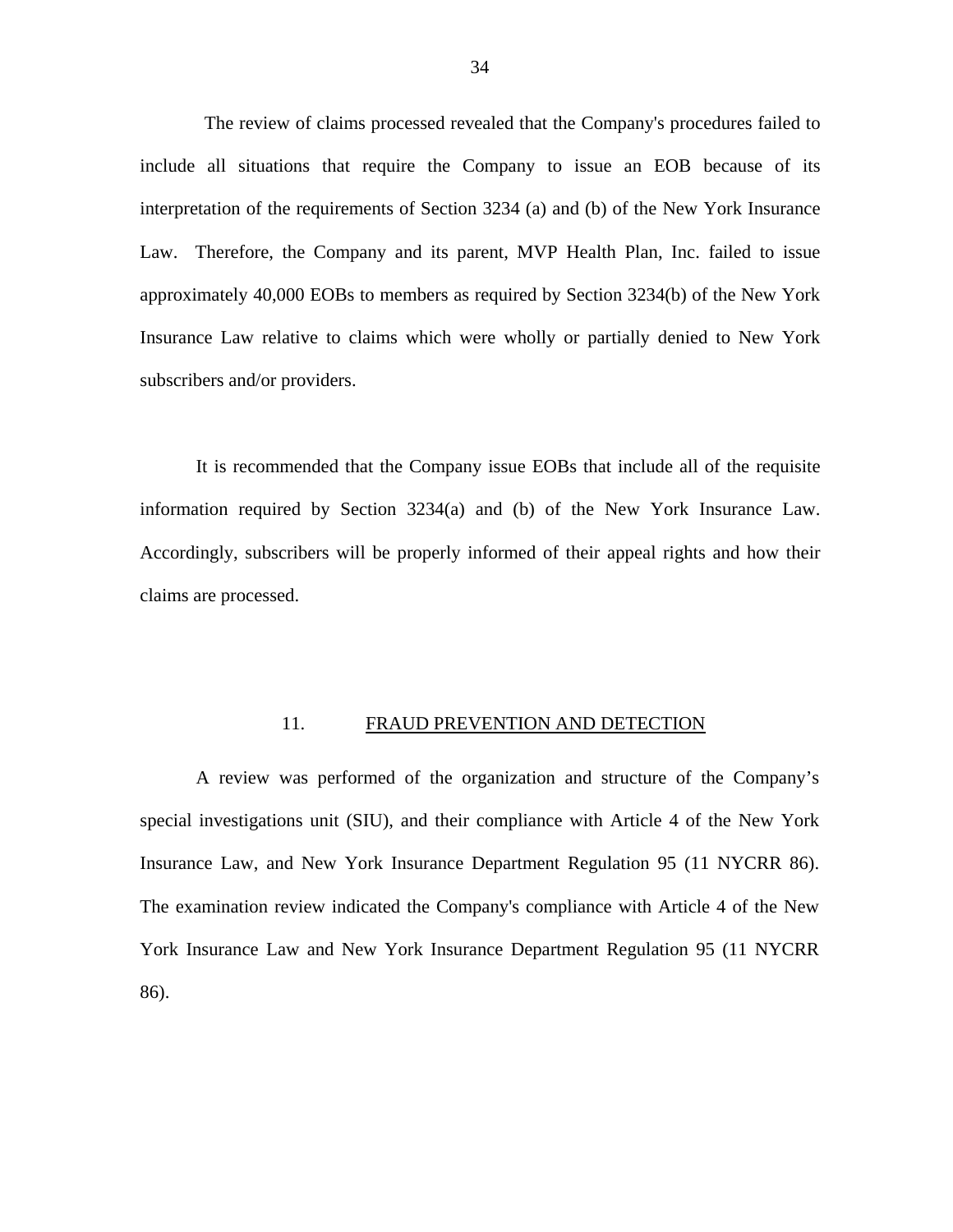<span id="page-36-0"></span>The review of claims processed revealed that the Company's procedures failed to include all situations that require the Company to issue an EOB because of its interpretation of the requirements of Section 3234 (a) and (b) of the New York Insurance Law. Therefore, the Company and its parent, MVP Health Plan, Inc. failed to issue approximately 40,000 EOBs to members as required by Section 3234(b) of the New York Insurance Law relative to claims which were wholly or partially denied to New York subscribers and/or providers.

It is recommended that the Company issue EOBs that include all of the requisite information required by Section 3234(a) and (b) of the New York Insurance Law. Accordingly, subscribers will be properly informed of their appeal rights and how their claims are processed.

# 11. FRAUD PREVENTION AND DETECTION

A review was performed of the organization and structure of the Company's special investigations unit (SIU), and their compliance with Article 4 of the New York Insurance Law, and New York Insurance Department Regulation 95 (11 NYCRR 86). The examination review indicated the Company's compliance with Article 4 of the New York Insurance Law and New York Insurance Department Regulation 95 (11 NYCRR 86).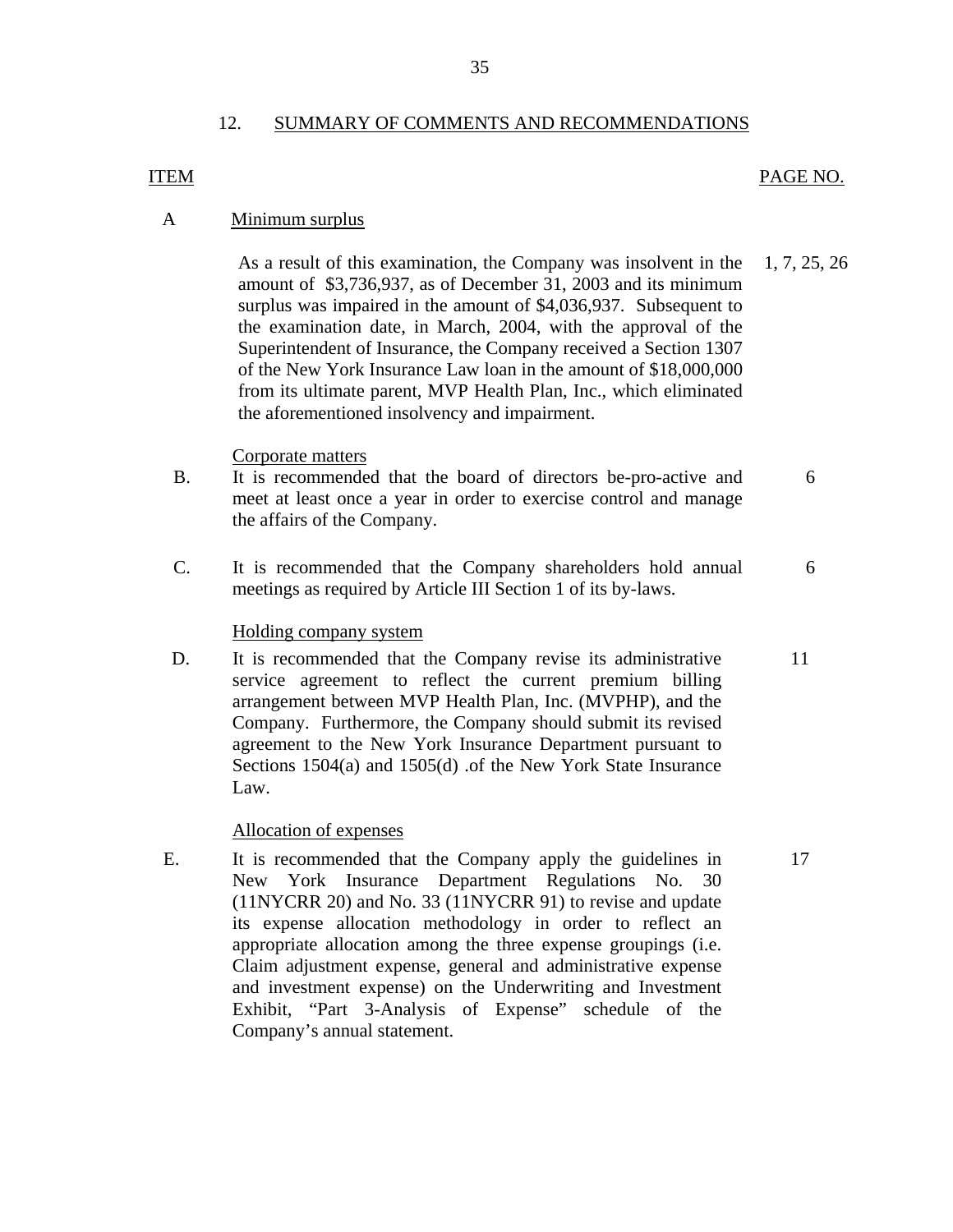# 12. SUMMARY OF COMMENTS AND RECOMMENDATIONS

# PAGE NO.

# <span id="page-37-0"></span>**ITEM**

# A Minimum surplus

As a result of this examination, the Company was insolvent in the 1, 7, 25, 26 amount of \$3,736,937, as of December 31, 2003 and its minimum surplus was impaired in the amount of \$4,036,937. Subsequent to the examination date, in March, 2004, with the approval of the Superintendent of Insurance, the Company received a Section 1307 of the New York Insurance Law loan in the amount of \$18,000,000 from its ultimate parent, MVP Health Plan, Inc., which eliminated the aforementioned insolvency and impairment.

# Corporate matters

- B. It is recommended that the board of directors be-pro-active and 6 meet at least once a year in order to exercise control and manage the affairs of the Company.
- C. It is recommended that the Company shareholders hold annual 6 meetings as required by Article III Section 1 of its by-laws.

# Holding company system

D. It is recommended that the Company revise its administrative 11 service agreement to reflect the current premium billing arrangement between MVP Health Plan, Inc. (MVPHP), and the Company. Furthermore, the Company should submit its revised agreement to the New York Insurance Department pursuant to Sections 1504(a) and 1505(d) .of the New York State Insurance Law.

# Allocation of expenses

E. It is recommended that the Company apply the guidelines in 17 New York Insurance Department Regulations No. 30 (11NYCRR 20) and No. 33 (11NYCRR 91) to revise and update its expense allocation methodology in order to reflect an appropriate allocation among the three expense groupings (i.e. Claim adjustment expense, general and administrative expense and investment expense) on the Underwriting and Investment Exhibit, "Part 3-Analysis of Expense" schedule of the Company's annual statement.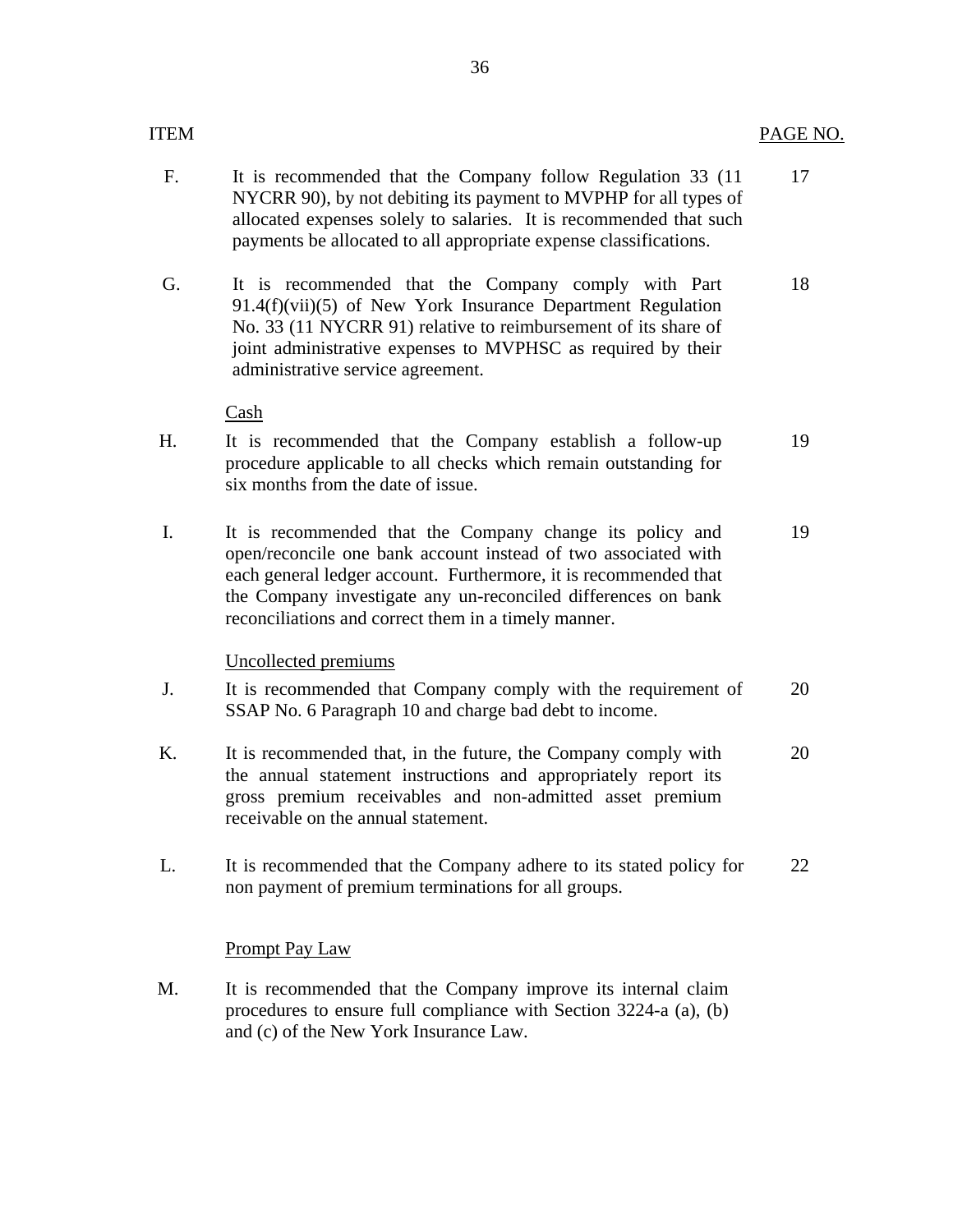|--|

- F. It is recommended that the Company follow Regulation 33 (11 NYCRR 90), by not debiting its payment to MVPHP for all types of allocated expenses solely to salaries. It is recommended that such payments be allocated to all appropriate expense classifications. 17
- G. It is recommended that the Company comply with Part 91.4(f)(vii)(5) of New York Insurance Department Regulation No. 33 (11 NYCRR 91) relative to reimbursement of its share of joint administrative expenses to MVPHSC as required by their administrative service agreement. 18

Cash

- H. It is recommended that the Company establish a follow-up procedure applicable to all checks which remain outstanding for six months from the date of issue.
- I. It is recommended that the Company change its policy and open/reconcile one bank account instead of two associated with each general ledger account. Furthermore, it is recommended that the Company investigate any un-reconciled differences on bank reconciliations and correct them in a timely manner. 19

# Uncollected premiums

- J. It is recommended that Company comply with the requirement of SSAP No. 6 Paragraph 10 and charge bad debt to income. 20
- K. It is recommended that, in the future, the Company comply with the annual statement instructions and appropriately report its gross premium receivables and non-admitted asset premium receivable on the annual statement. 20
- L. It is recommended that the Company adhere to its stated policy for non payment of premium terminations for all groups. 22

# **Prompt Pay Law**

M. It is recommended that the Company improve its internal claim procedures to ensure full compliance with Section 3224-a (a), (b) and (c) of the New York Insurance Law.

19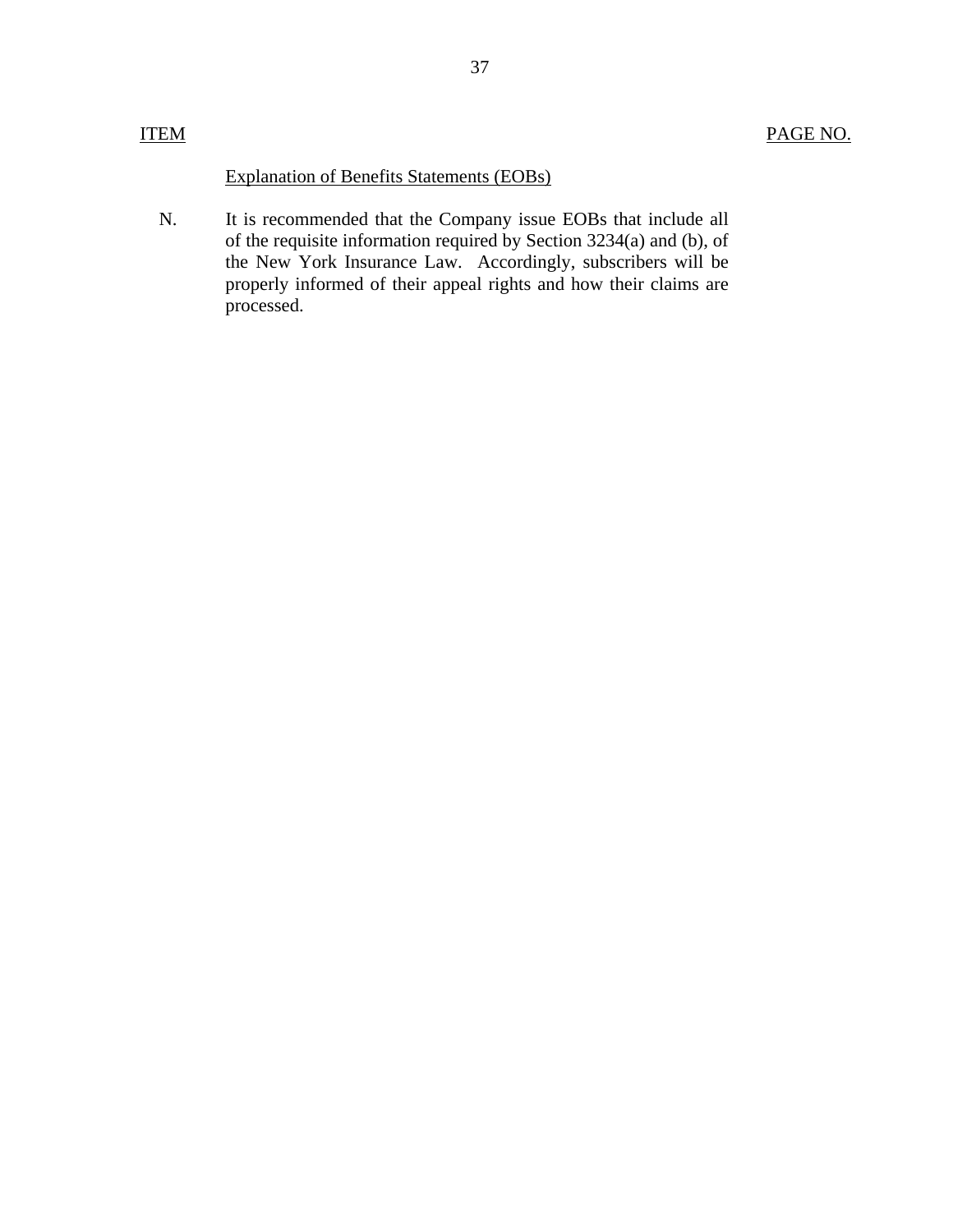Explanation of Benefits Statements (EOBs)

N. It is recommended that the Company issue EOBs that include all of the requisite information required by Section 3234(a) and (b), of the New York Insurance Law. Accordingly, subscribers will be properly informed of their appeal rights and how their claims are processed.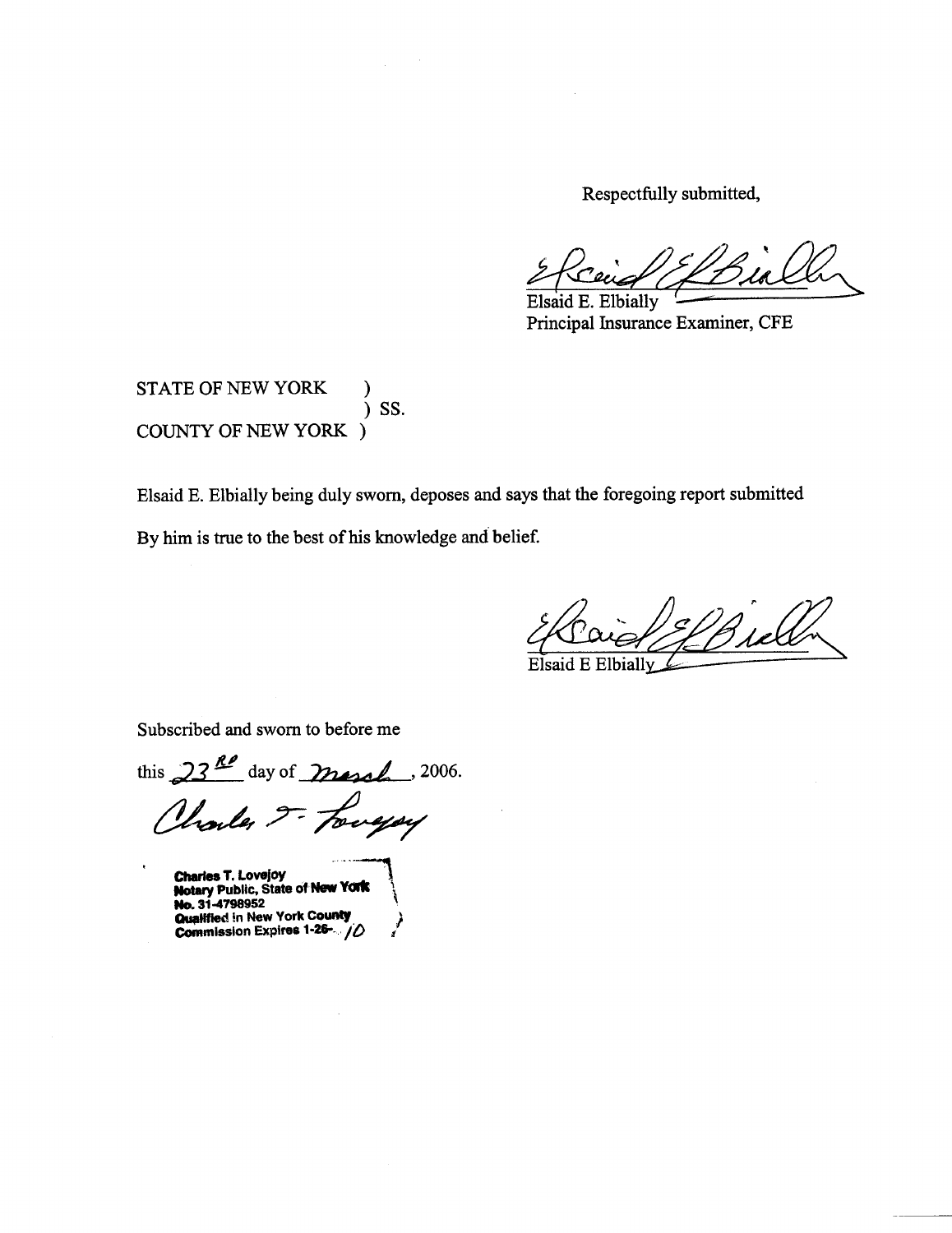Respectfully submitted,

Elsaid E. Elbially Principal Insurance Examiner, CFE

STATE OF NEW YORK  $)$  SS. **COUNTY OF NEW YORK )** 

Elsaid E. Elbially being duly sworn, deposes and says that the foregoing report submitted

By him is true to the best of his knowledge and belief.

Elbially

Subscribed and sworn to before me

this  $23^{R}$  day of march . 2006. Charles J- Longay

Charles T. Lovejoy<br>Notary Public, State of New York<br>No. 31-4798952

Qualified in New York County Commission Expires 1-26